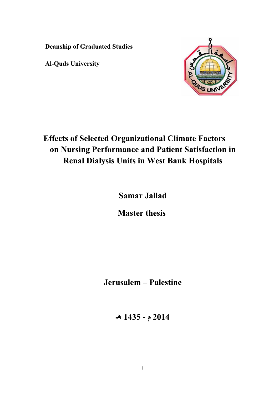**Deanship of Graduated Studies** 

**Al-Quds University** 



# **Effects of Selected Organizational Climate Factors on Nursing Performance and Patient Satisfaction in Renal Dialysis Units in West Bank Hospitals**

 **Samar Jallad**

**Master thesis** 

**Jerusalem – Palestine**

**2014 م - 1435 هـ**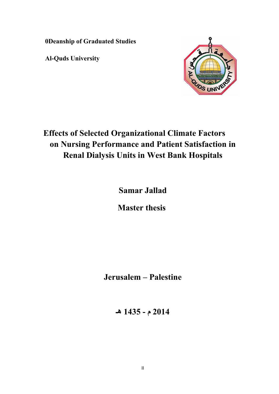**0Deanship of Graduated Studies** 

**Al-Quds University** 



# **Effects of Selected Organizational Climate Factors on Nursing Performance and Patient Satisfaction in Renal Dialysis Units in West Bank Hospitals**

 **Samar Jallad**

**Master thesis** 

**Jerusalem – Palestine**

**2014 م - 1435 هـ**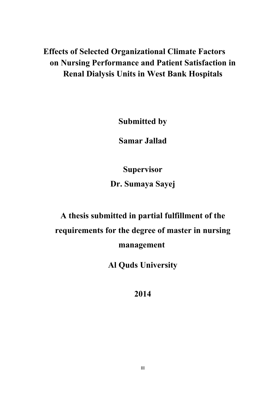# **Effects of Selected Organizational Climate Factors on Nursing Performance and Patient Satisfaction in Renal Dialysis Units in West Bank Hospitals**

**Submitted by** 

 **Samar Jallad**

**Supervisor** 

**Dr. Sumaya Sayej** 

# **A thesis submitted in partial fulfillment of the requirements for the degree of master in nursing management**

**Al Quds University** 

**2014**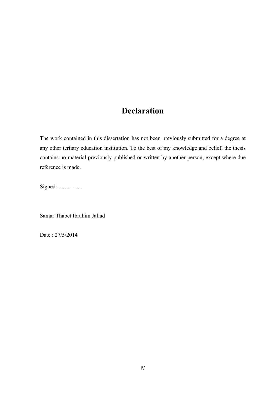# **Declaration**

The work contained in this dissertation has not been previously submitted for a degree at any other tertiary education institution. To the best of my knowledge and belief, the thesis contains no material previously published or written by another person, except where due reference is made.

Signed:…………..

Samar Thabet Ibrahim Jallad

Date : 27/5/2014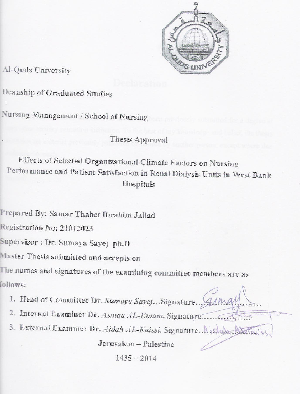

Al-Quds University

Deanship of Graduated Studies

Nursing Management / School of Nursing

# **Thesis Approval**

Effects of Selected Organizational Climate Factors on Nursing Performance and Patient Satisfaction in Renal Dialysis Units in West Bank Hospitals

Prepared By: Samar Thabet Ibrahim Jallad

Registration No: 21012023

Supervisor : Dr. Sumaya Sayej ph.D

Master Thesis submitted and accepts on

The names and signatures of the examining committee members are as follows:

- 1. Head of Committee Dr. Sumaya Sayej... Signature...
- 2. Internal Examiner Dr. Asmaa AL-Emam. Signature......
- 3. External Examiner Dr. Aidah AL-Kaissi. Signature. A Alaha.

Jerusalem - Palestine

 $1435 - 2014$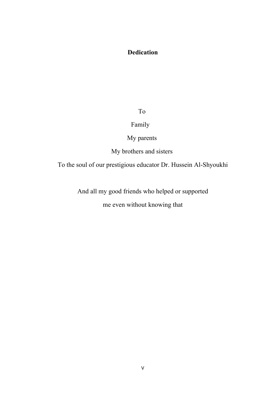# **Dedication**

To

## Family

My parents

My brothers and sisters

To the soul of our prestigious educator Dr. Hussein Al-Shyoukhi

And all my good friends who helped or supported

me even without knowing that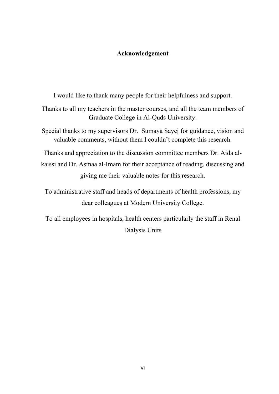### **Acknowledgement**

I would like to thank many people for their helpfulness and support.

Thanks to all my teachers in the master courses, and all the team members of Graduate College in Al-Quds University.

Special thanks to my supervisors Dr. Sumaya Sayej for guidance, vision and valuable comments, without them I couldn't complete this research.

Thanks and appreciation to the discussion committee members Dr. Aida alkaissi and Dr. Asmaa al-Imam for their acceptance of reading, discussing and giving me their valuable notes for this research.

To administrative staff and heads of departments of health professions, my dear colleagues at Modern University College.

To all employees in hospitals, health centers particularly the staff in Renal Dialysis Units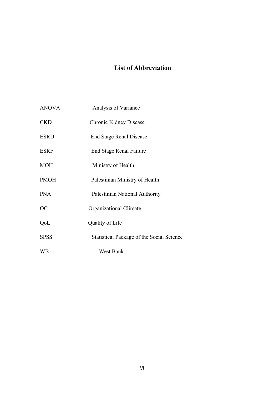## **List of Abbreviation**

- ANOVA Analysis of Variance
- CKD Chronic Kidney Disease
- ESRD End Stage Renal Disease
- ESRF End Stage Renal Failure
- MOH Ministry of Health
- PMOH Palestinian Ministry of Health
- PNA Palestinian National Authority
- OC Organizational Climate
- QoL Quality of Life
- SPSS Statistical Package of the Social Science
- WB West Bank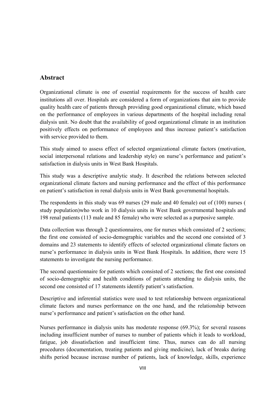## **Abstract**

Organizational climate is one of essential requirements for the success of health care institutions all over. Hospitals are considered a form of organizations that aim to provide quality health care of patients through providing good organizational climate, which based on the performance of employees in various departments of the hospital including renal dialysis unit. No doubt that the availability of good organizational climate in an institution positively effects on performance of employees and thus increase patient's satisfaction with service provided to them.

This study aimed to assess effect of selected organizational climate factors (motivation, social interpersonal relations and leadership style) on nurse's performance and patient's satisfaction in dialysis units in West Bank Hospitals.

This study was a descriptive analytic study. It described the relations between selected organizational climate factors and nursing performance and the effect of this performance on patient's satisfaction in renal dialysis units in West Bank governmental hospitals.

The respondents in this study was 69 nurses (29 male and 40 female) out of (100) nurses ( study population)who work in 10 dialysis units in West Bank governmental hospitals and 198 renal patients (113 male and 85 female) who were selected as a purposive sample.

Data collection was through 2 questionnaires, one for nurses which consisted of 2 sections; the first one consisted of socio-demographic variables and the second one consisted of 3 domains and 23 statements to identify effects of selected organizational climate factors on nurse's performance in dialysis units in West Bank Hospitals. In addition, there were 15 statements to investigate the nursing performance.

The second questionnaire for patients which consisted of 2 sections; the first one consisted of socio-demographic and health conditions of patients attending to dialysis units, the second one consisted of 17 statements identify patient's satisfaction.

Descriptive and inferential statistics were used to test relationship between organizational climate factors and nurses performance on the one hand, and the relationship between nurse's performance and patient's satisfaction on the other hand.

Nurses performance in dialysis units has moderate response (69.3%); for several reasons including insufficient number of nurses to number of patients which it leads to workload, fatigue, job dissatisfaction and insufficient time. Thus, nurses can do all nursing procedures (documentation, treating patients and giving medicine), lack of breaks during shifts period because increase number of patients, lack of knowledge, skills, experience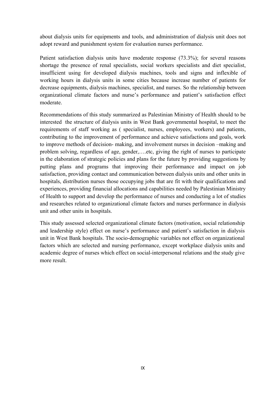about dialysis units for equipments and tools, and administration of dialysis unit does not adopt reward and punishment system for evaluation nurses performance.

Patient satisfaction dialysis units have moderate response (73.3%); for several reasons shortage the presence of renal specialists, social workers specialists and diet specialist, insufficient using for developed dialysis machines, tools and signs and inflexible of working hours in dialysis units in some cities because increase number of patients for decrease equipments, dialysis machines, specialist, and nurses. So the relationship between organizational climate factors and nurse's performance and patient's satisfaction effect moderate.

Recommendations of this study summarized as Palestinian Ministry of Health should to be interested the structure of dialysis units in West Bank governmental hospital, to meet the requirements of staff working as ( specialist, nurses, employees, workers) and patients, contributing to the improvement of performance and achieve satisfactions and goals, work to improve methods of decision- making, and involvement nurses in decision –making and problem solving, regardless of age, gender,….etc, giving the right of nurses to participate in the elaboration of strategic policies and plans for the future by providing suggestions by putting plans and programs that improving their performance and impact on job satisfaction, providing contact and communication between dialysis units and other units in hospitals, distribution nurses those occupying jobs that are fit with their qualifications and experiences, providing financial allocations and capabilities needed by Palestinian Ministry of Health to support and develop the performance of nurses and conducting a lot of studies and researches related to organizational climate factors and nurses performance in dialysis unit and other units in hospitals.

This study assessed selected organizational climate factors (motivation, social relationship and leadership style) effect on nurse's performance and patient's satisfaction in dialysis unit in West Bank hospitals. The socio-demographic variables not effect on organizational factors which are selected and nursing performance, except workplace dialysis units and academic degree of nurses which effect on social-interpersonal relations and the study give more result.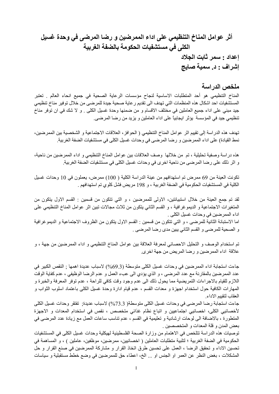# **أثر عوامل المناخ التنظيمي على اداء الممرضين و رضا المرضى في وحدة غسيل الكلى في مستشفيات الحكومة بالضفة الغربية إعداد : سمر ثابت الجلاد إشراف : د. سمية صايج**

#### **ملخص الدراسة**

المناخ التنظيمي هو أحد المتطلبات الاساسية لنجاح مؤسسات الرعاية الصحية في جميع انحاء العالم . تعتبر المستشفيات احد اشكال هذه المنظمات التي تهدف الى تقديم رعاية صحية جيدة للمرضى من خلال توفير مناخ تنظيمي جيد مبني على اداء جميع العاملين في مختلف الاقسام و من ضمنها وحدة غسيل الكلى . و لا شك في ان توفر مناخ تنظيمي جيد في المؤسسة يؤثر ايجابياً على اداء العاملين و يزيد من رضا المرضى.

تهدف هذه الدراسة إلى تقييم اثر عوامل المناخ التنظيمي ( الحوافز، العلاقات الاجتماعية و الشخصية بين الممرضين، نمط القيادة) على اداء الممرضين و رضا المرضى في وحدات غسيل الكلى في مستشفيات الضفة الغربية.

هذه دراسة وصفية تحليلية ، تم من خلالها وصف العلاقات بين عوامل المناخ التنظيمي و اداء الممرضين من ناحية، و اثر ذلك على رضا المرضى من ناحية اخرى في وحدات غسيل الكلى في مستشفيات الضفة الغربية.

تكونت العينة من 69 ممرض تم استهدافهم من عينة الدراسة الكلية ( 100) ممرض، يعملون في 10 وحدات غسيل الكلية في المستشفيات الحكومية في الضفة الغربية ، و 198 مريض فشل كلوي تم استهدافهم .

لقد تم جمع العينة من خلال استبيانتين، الاولى للممرضين ، و التي تتكون من قسمين : القسم الاول يتكون من المتغيرات الاجتماعية و الديموغرافية ، و القسم الثاني يتكون من ثلاث مجالات تبين اثر عوامل المناخ التنظيمي على اداء الممرضين في وحدات غسيل الكلى .

اما الاستبانة الثانية للمرضى ، و التي تتكون من قسمين : القسم الاول يتكون من الظروف الاجتماعية و الديموغرافية و الصحية للمرضى و القسم الثاني يبين مدى رضا المرضى .

تم استخدام الوصف و التحليل الاحصائي لمعرفة العلاقة بين عوامل المناخ التنظيمي و اداء الممرضين من جهة ، و علاقة اداء الممرضين و رضا المريض من جهة اخرى.

جاءت استجابة اداء الممرضين في وحدات غسيل الكلى متوسطة (%69.3) لاسباب عديدة اهمها ; النقص الكبير في عدد الممرضين بالمقارنة مع عدد المرضىي ، و الذي يؤدي الى عبء العمل و عدم الرضا الوظيفي ، عدم كفاية الوقت اللازم للقيام بالاجراءات التمريضية مما يحول ذلك الى عدم وجود وقت كافي للراحة ، عدم توفر المعرفة والخبرة و المهارات الكافية حول استخدام اجهزة و معدات القسم ، عدم قيام ادارة وحدة غسيل الكلى باعتماد اسلوب الثواب و العقاب لتقييم الاداء.

جاءت استجابة رضا المرضى في وحدات غسيل الكلى متوسطة( %73.3) لاسباب عديدة; تفتقر وحدات غسيل الكلى لأخصائيي الكلى، اخصائيي اجتماعيين و اتباع نظام غذائي متخصص ، نقص في استخدام المعدات و الاجهزة المتطورة ، بالاضافة الى لوحات ارشادية و تعليمية في القسم ، عدم تناسب ساعات العمل مع زيادة عدد المرضى في بعض المدن و قلة المعدات و المتخصصين .

توصيات هذه الدراسة تتلخص في الاهتمام من وزارة الصحة الفلسطينية لهيكلية وحدات غسيل الكلى في المستشفيات الحكومية في الضفة الغربية ؛ لتلبية متطلبات العاملين ( اخصائيين، ممرضين، موظفين، عاملين ) ، و المساهمة في تحسين الاداء و تحقيق الرضا ، العمل على تحسين طرق اتخاذ القرار و مشارآة الممرضين في صنع القرار و حل المشكلات ، بغض النظر عن العمر او الجنس او ... الخ، اعطاء حق للممرضين في وضع خطط مستقبلية و سياسات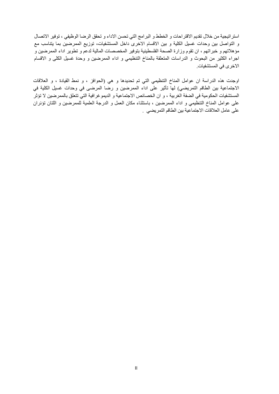استراتيجية من خلال تقديم الاقتراحات و الخطط و البرامج التي تحسن الاداء و تحقق الرضا الوظيفي ، توفير الاتصال و التواصل بين وحدات غسيل الكلية و بين الاقسام الاخرى داخل المستشفيات، توزيع الممرضين بما يتناسب مع مؤهلاتهم و خبراتهم ، ان تقوم وزارة الصحة الفلسطينية بتوفير المخصصات المالية لدعم و تطوير اداء الممرضين و اجراء الكثير من البحوث و الدراسات المتعلقة بالمناخ التنظيمي و اداء الممرضين و وحدة غسيل الكلى و الاقسام الاخرى في المستشفيات.

اوجدت هذه الدراسة ان عوامل المناخ التنظيمي التي تم تحديدها و هي (الحوافز ، و نمط القيادة ، و العلاقات الاجتماعية بين الطاقم التمريضي) لها تأثير على اداء الممرضين و رضا المرضى في وحدات غسيل الكلية في المستشفيات الحكومية في الضفة الغربية ، و ان الخصائص الاجتماعية و الديموغرافية التي تتعلق بالممرضين لا تؤثر على عوامل المناخ التنظيمي و اداء الممرضين ، باستثناء مكان العمل و الدرجة العلمية للممرضين و اللتان تؤئران على عامل العلاقات الاجتماعية بين الطاقم التمريضي .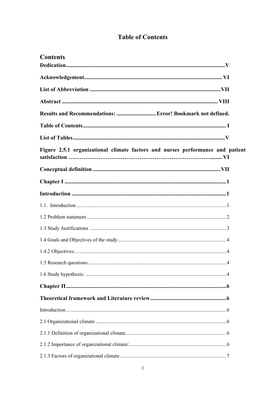# **Table of Contents**

| <b>Contents</b>                                                                |  |
|--------------------------------------------------------------------------------|--|
|                                                                                |  |
|                                                                                |  |
|                                                                                |  |
|                                                                                |  |
| Results and Recommendations:  Error! Bookmark not defined.                     |  |
|                                                                                |  |
|                                                                                |  |
| Figure 2.5.1 organizational climate factors and nurses performance and patient |  |
|                                                                                |  |
|                                                                                |  |
|                                                                                |  |
|                                                                                |  |
|                                                                                |  |
|                                                                                |  |
|                                                                                |  |
|                                                                                |  |
|                                                                                |  |
|                                                                                |  |
|                                                                                |  |
|                                                                                |  |
|                                                                                |  |
|                                                                                |  |
|                                                                                |  |
|                                                                                |  |
|                                                                                |  |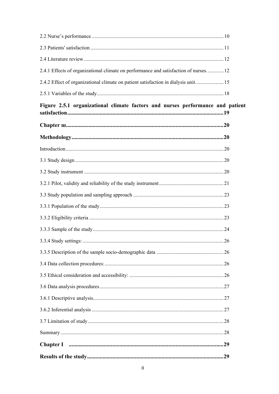| 2.4.1 Effects of organizational climate on performance and satisfaction of nurses.  12 |    |
|----------------------------------------------------------------------------------------|----|
| 2.4.2 Effect of organizational climate on patient satisfaction in dialysis unit 15     |    |
|                                                                                        |    |
| Figure 2.5.1 organizational climate factors and nurses performance and patient         |    |
|                                                                                        |    |
|                                                                                        |    |
|                                                                                        |    |
|                                                                                        |    |
|                                                                                        |    |
|                                                                                        |    |
|                                                                                        |    |
|                                                                                        |    |
|                                                                                        |    |
|                                                                                        |    |
|                                                                                        | 26 |
|                                                                                        |    |
|                                                                                        |    |
|                                                                                        |    |
|                                                                                        |    |
|                                                                                        |    |
|                                                                                        |    |
|                                                                                        |    |
|                                                                                        |    |
|                                                                                        |    |
|                                                                                        |    |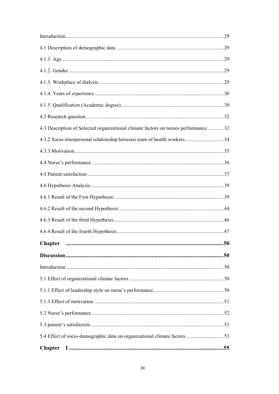| 4.3 Description of Selected organizational climate factors on nurses performance32 |  |
|------------------------------------------------------------------------------------|--|
|                                                                                    |  |
|                                                                                    |  |
|                                                                                    |  |
|                                                                                    |  |
|                                                                                    |  |
|                                                                                    |  |
|                                                                                    |  |
|                                                                                    |  |
|                                                                                    |  |
|                                                                                    |  |
|                                                                                    |  |
|                                                                                    |  |
|                                                                                    |  |
|                                                                                    |  |
|                                                                                    |  |
|                                                                                    |  |
|                                                                                    |  |
|                                                                                    |  |
|                                                                                    |  |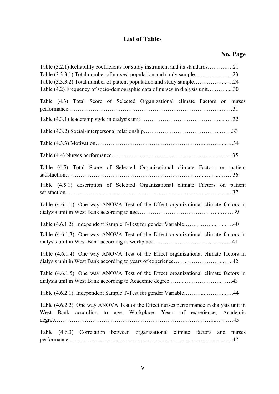# **List of Tables**

# **No. Page**

| Table (3.2.1) Reliability coefficients for study instrument and its standards21                                                                                  |        |
|------------------------------------------------------------------------------------------------------------------------------------------------------------------|--------|
| Table (3.3.3.1) Total number of nurses' population and study sample 23                                                                                           |        |
| Table (3.3.3.2) Total number of patient population and study sample24                                                                                            |        |
| Table (4.2) Frequency of socio-demographic data of nurses in dialysis unit30                                                                                     |        |
| Table (4.3) Total Score of Selected Organizational climate Factors on nurses                                                                                     |        |
|                                                                                                                                                                  |        |
|                                                                                                                                                                  |        |
|                                                                                                                                                                  |        |
|                                                                                                                                                                  |        |
| Table (4.5) Total Score of Selected Organizational climate Factors on patient                                                                                    |        |
| Table (4.5.1) description of Selected Organizational climate Factors on patient                                                                                  |        |
| Table (4.6.1.1). One way ANOVA Test of the Effect organizational climate factors in                                                                              |        |
| Table (4.6.1.2). Independent Sample T-Test for gender Variable40                                                                                                 |        |
| Table (4.6.1.3). One way ANOVA Test of the Effect organizational climate factors in                                                                              |        |
| Table (4.6.1.4). One way ANOVA Test of the Effect organizational climate factors in<br>dialysis unit in West Bank according to years of experience42             |        |
| Table (4.6.1.5). One way ANOVA Test of the Effect organizational climate factors in                                                                              |        |
| Table (4.6.2.1). Independent Sample T-Test for gender Variable44                                                                                                 |        |
| Table (4.6.2.2). One way ANOVA Test of the Effect nurses performance in dialysis unit in<br>West Bank according to age, Workplace, Years of experience, Academic |        |
| Table (4.6.3) Correlation between organizational climate factors and                                                                                             | nurses |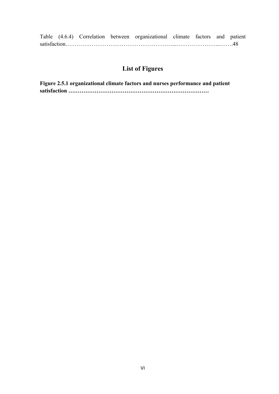|  |  | Table (4.6.4) Correlation between organizational climate factors and patient |  |  |
|--|--|------------------------------------------------------------------------------|--|--|
|  |  |                                                                              |  |  |

# **List of Figures**

**Figure 2.5.1 organizational climate factors and nurses performance and patient satisfaction …………………………………………………………………**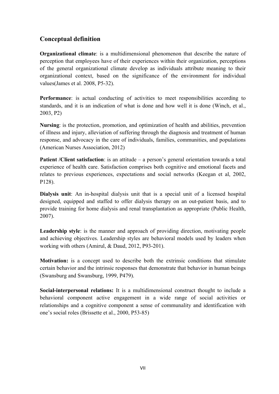## **Conceptual definition**

**Organizational climate**: is a multidimensional phenomenon that describe the nature of perception that employees have of their experiences within their organization, perceptions of the general organizational climate develop as individuals attribute meaning to their organizational context, based on the significance of the environment for individual values(James et al. 2008, P5-32).

**Performance**: is actual conducting of activities to meet responsibilities according to standards, and it is an indication of what is done and how well it is done (Winch, et al., 2003, P2)

**Nursing**: is the protection, promotion, and optimization of health and abilities, prevention of illness and injury, alleviation of suffering through the diagnosis and treatment of human response, and advocacy in the care of individuals, families, communities, and populations (American Nurses Association, 2012)

**Patient /Client satisfaction**: is an attitude – a person's general orientation towards a total experience of health care. Satisfaction comprises both cognitive and emotional facets and relates to previous experiences, expectations and social networks (Keegan et al, 2002, P128).

**Dialysis unit**: An in-hospital dialysis unit that is a special unit of a licensed hospital designed, equipped and staffed to offer dialysis therapy on an out-patient basis, and to provide training for home dialysis and renal transplantation as appropriate (Public Health, 2007).

**Leadership style**: is the manner and approach of providing direction, motivating people and achieving objectives. Leadership styles are behavioral models used by leaders when working with others (Amirul, & Daud, 2012, P93-201).

**Motivation:** is a concept used to describe both the extrinsic conditions that stimulate certain behavior and the intrinsic responses that demonstrate that behavior in human beings (Swansburg and Swansburg, 1999, P479).

**Social-interpersonal relations:** It is a multidimensional construct thought to include a behavioral component active engagement in a wide range of social activities or relationships and a cognitive component a sense of communality and identification with one's social roles (Brissette et al., 2000, P53-85)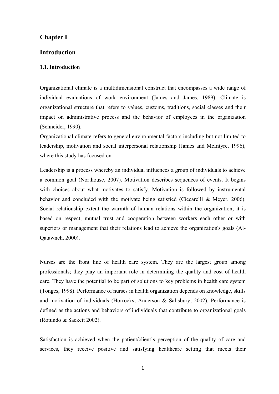#### **Chapter Ι**

#### **Introduction**

#### **1.1.Introduction**

Organizational climate is a multidimensional construct that encompasses a wide range of individual evaluations of work environment (James and James, 1989). Climate is organizational structure that refers to values, customs, traditions, social classes and their impact on administrative process and the behavior of employees in the organization (Schneider, 1990).

Organizational climate refers to general environmental factors including but not limited to leadership, motivation and social interpersonal relationship (James and McIntyre, 1996), where this study has focused on.

Leadership is a process whereby an individual influences a group of individuals to achieve a common goal (Northouse, 2007). Motivation describes sequences of events. It begins with choices about what motivates to satisfy. Motivation is followed by instrumental behavior and concluded with the motivate being satisfied (Ciccarelli & Meyer, 2006). Social relationship extent the warmth of human relations within the organization, it is based on respect, mutual trust and cooperation between workers each other or with superiors or management that their relations lead to achieve the organization's goals (Al-Qatawneh, 2000).

Nurses are the front line of health care system. They are the largest group among professionals; they play an important role in determining the quality and cost of health care. They have the potential to be part of solutions to key problems in health care system (Tonges, 1998). Performance of nurses in health organization depends on knowledge, skills and motivation of individuals (Horrocks, Anderson & Salisbury, 2002). Performance is defined as the actions and behaviors of individuals that contribute to organizational goals (Rotundo & Sackett 2002).

Satisfaction is achieved when the patient/client's perception of the quality of care and services, they receive positive and satisfying healthcare setting that meets their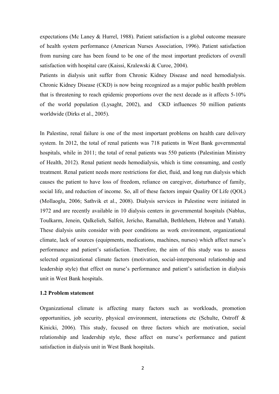expectations (Mc Laney & Hurrel, 1988). Patient satisfaction is a global outcome measure of health system performance (American Nurses Association, 1996). Patient satisfaction from nursing care has been found to be one of the most important predictors of overall satisfaction with hospital care (Kaissi, Kralewski & Curoe, 2004).

Patients in dialysis unit suffer from Chronic Kidney Disease and need hemodialysis. Chronic Kidney Disease (CKD) is now being recognized as a major public health problem that is threatening to reach epidemic proportions over the next decade as it affects 5-10% of the world population (Lysaght, 2002), and CKD influences 50 million patients worldwide (Dirks et al., 2005).

In Palestine, renal failure is one of the most important problems on health care delivery system. In 2012, the total of renal patients was 718 patients in West Bank governmental hospitals, while in 2011; the total of renal patients was 550 patients (Palestinian Ministry of Health, 2012). Renal patient needs hemodialysis, which is time consuming, and costly treatment. Renal patient needs more restrictions for diet, fluid, and long run dialysis which causes the patient to have loss of freedom, reliance on caregiver, disturbance of family, social life, and reduction of income. So, all of these factors impair Quality Of Life (QOL) (Mollaoglu, 2006; Sathvik et al., 2008). Dialysis services in Palestine were initiated in 1972 and are recently available in 10 dialysis centers in governmental hospitals (Nablus, Toulkarm, Jenein, Qalkelieh, Salfeit, Jericho, Ramallah, Bethlehem, Hebron and Yattah). These dialysis units consider with poor conditions as work environment, organizational climate, lack of sources (equipments, medications, machines, nurses) which affect nurse's performance and patient's satisfaction. Therefore, the aim of this study was to assess selected organizational climate factors (motivation, social-interpersonal relationship and leadership style) that effect on nurse's performance and patient's satisfaction in dialysis unit in West Bank hospitals.

#### **1.2 Problem statement**

Organizational climate is affecting many factors such as workloads, promotion opportunities, job security, physical environment, interactions etc (Schulte, Ostroff & Kinicki, 2006). This study, focused on three factors which are motivation, social relationship and leadership style, these affect on nurse's performance and patient satisfaction in dialysis unit in West Bank hospitals.

2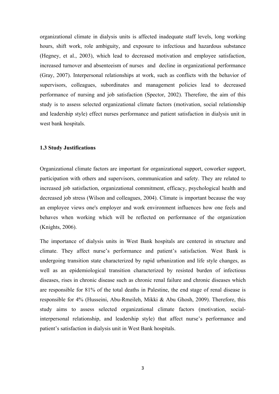organizational climate in dialysis units is affected inadequate staff levels, long working hours, shift work, role ambiguity, and exposure to infectious and hazardous substance (Hegney, et al., 2003), which lead to decreased motivation and employee satisfaction, increased turnover and absenteeism of nurses and decline in organizational performance (Gray, 2007). Interpersonal relationships at work, such as conflicts with the behavior of supervisors, colleagues, subordinates and management policies lead to decreased performance of nursing and job satisfaction (Spector, 2002). Therefore, the aim of this study is to assess selected organizational climate factors (motivation, social relationship and leadership style) effect nurses performance and patient satisfaction in dialysis unit in west bank hospitals.

#### **1.3 Study Justifications**

Organizational climate factors are important for organizational support, coworker support, participation with others and supervisors, communication and safety. They are related to increased job satisfaction, organizational commitment, efficacy, psychological health and decreased job stress (Wilson and colleagues, 2004). Climate is important because the way an employee views one's employer and work environment influences how one feels and behaves when working which will be reflected on performance of the organization (Knights, 2006).

The importance of dialysis units in West Bank hospitals are centered in structure and climate. They affect nurse's performance and patient's satisfaction. West Bank is undergoing transition state characterized by rapid urbanization and life style changes, as well as an epidemiological transition characterized by resisted burden of infectious diseases, rises in chronic disease such as chronic renal failure and chronic diseases which are responsible for 81% of the total deaths in Palestine, the end stage of renal disease is responsible for 4% (Husseini, Abu-Rmeileh, Mikki & Abu Ghosh, 2009). Therefore, this study aims to assess selected organizational climate factors (motivation, socialinterpersonal relationship, and leadership style) that affect nurse's performance and patient's satisfaction in dialysis unit in West Bank hospitals.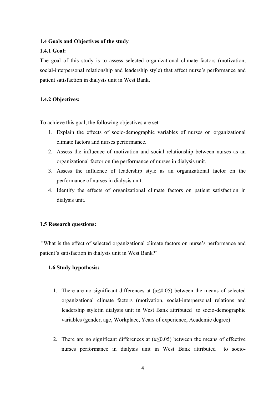#### **1.4 Goals and Objectives of the study**

#### **1.4.1 Goal:**

The goal of this study is to assess selected organizational climate factors (motivation, social-interpersonal relationship and leadership style) that affect nurse's performance and patient satisfaction in dialysis unit in West Bank.

#### **1.4.2 Objectives:**

To achieve this goal, the following objectives are set:

- 1. Explain the effects of socio-demographic variables of nurses on organizational climate factors and nurses performance.
- 2. Assess the influence of motivation and social relationship between nurses as an organizational factor on the performance of nurses in dialysis unit.
- 3. Assess the influence of leadership style as an organizational factor on the performance of nurses in dialysis unit.
- 4. Identify the effects of organizational climate factors on patient satisfaction in dialysis unit.

#### **1.5 Research questions:**

 "What is the effect of selected organizational climate factors on nurse's performance and patient's satisfaction in dialysis unit in West Bank?"

#### **1.6 Study hypothesis:**

- 1. There are no significant differences at  $(\alpha \le 0.05)$  between the means of selected organizational climate factors (motivation, social-interpersonal relations and leadership style)in dialysis unit in West Bank attributed to socio-demographic variables (gender, age, Workplace, Years of experience, Academic degree)
- 2. There are no significant differences at  $(\alpha \le 0.05)$  between the means of effective nurses performance in dialysis unit in West Bank attributed to socio-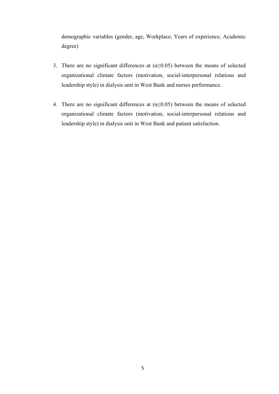demographic variables (gender, age, Workplace, Years of experience, Academic degree)

- 3. There are no significant differences at  $(\alpha \le 0.05)$  between the means of selected organizational climate factors (motivation, social-interpersonal relations and leadership style) in dialysis unit in West Bank and nurses performance.
- 4. There are no significant differences at  $(\alpha \le 0.05)$  between the means of selected organizational climate factors (motivation, social-interpersonal relations and leadership style) in dialysis unit in West Bank and patient satisfaction.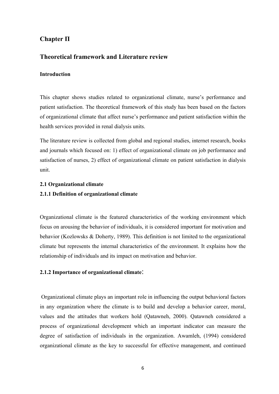## **Chapter П**

#### **Theoretical framework and Literature review**

#### **Introduction**

This chapter shows studies related to organizational climate, nurse's performance and patient satisfaction. The theoretical framework of this study has been based on the factors of organizational climate that affect nurse's performance and patient satisfaction within the health services provided in renal dialysis units.

The literature review is collected from global and regional studies, internet research, books and journals which focused on: 1) effect of organizational climate on job performance and satisfaction of nurses, 2) effect of organizational climate on patient satisfaction in dialysis unit.

#### **2.1 Organizational climate**

#### **2.1.1 Definition of organizational climate**

Organizational climate is the featured characteristics of the working environment which focus on arousing the behavior of individuals, it is considered important for motivation and behavior (Kozlowsks & Doherty, 1989). This definition is not limited to the organizational climate but represents the internal characteristics of the environment. It explains how the relationship of individuals and its impact on motivation and behavior.

#### **2.1.2 Importance of organizational climate**:

 Organizational climate plays an important role in influencing the output behavioral factors in any organization where the climate is to build and develop a behavior career, moral, values and the attitudes that workers hold (Qatawneh, 2000). Qatawneh considered a process of organizational development which an important indicator can measure the degree of satisfaction of individuals in the organization. Awamleh, (1994) considered organizational climate as the key to successful for effective management, and continued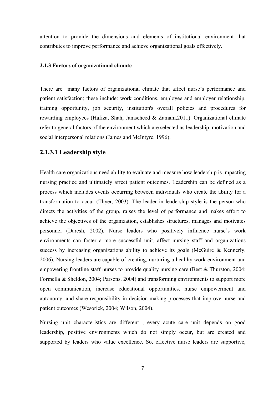attention to provide the dimensions and elements of institutional environment that contributes to improve performance and achieve organizational goals effectively.

#### **2.1.3 Factors of organizational climate**

There are many factors of organizational climate that affect nurse's performance and patient satisfaction; these include: work conditions, employee and employer relationship, training opportunity, job security, institution's overall policies and procedures for rewarding employees (Hafiza, Shah, Jamseheed & Zamam,2011). Organizational climate refer to general factors of the environment which are selected as leadership, motivation and social interpersonal relations (James and McIntyre, 1996).

#### **2.1.3.1 Leadership style**

Health care organizations need ability to evaluate and measure how leadership is impacting nursing practice and ultimately affect patient outcomes. Leadership can be defined as a process which includes events occurring between individuals who create the ability for a transformation to occur (Thyer, 2003). The leader in leadership style is the person who directs the activities of the group, raises the level of performance and makes effort to achieve the objectives of the organization, establishes structures, manages and motivates personnel (Daresh, 2002). Nurse leaders who positively influence nurse's work environments can foster a more successful unit, affect nursing staff and organizations success by increasing organizations ability to achieve its goals (McGuire & Kennerly, 2006). Nursing leaders are capable of creating, nurturing a healthy work environment and empowering frontline staff nurses to provide quality nursing care (Best & Thurston, 2004; Formella & Sheldon, 2004; Parsons, 2004) and transforming environments to support more open communication, increase educational opportunities, nurse empowerment and autonomy, and share responsibility in decision-making processes that improve nurse and patient outcomes (Wesorick, 2004; Wilson, 2004).

Nursing unit characteristics are different , every acute care unit depends on good leadership, positive environments which do not simply occur, but are created and supported by leaders who value excellence. So, effective nurse leaders are supportive,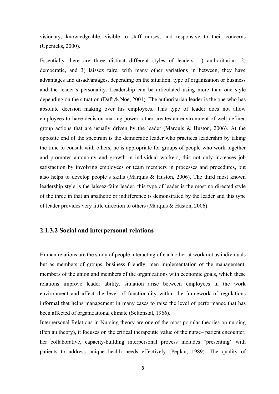visionary, knowledgeable, visible to staff nurses, and responsive to their concerns (Upenieks, 2000).

Essentially there are three distinct different styles of leaders: 1) authoritarian, 2) democratic, and 3) laissez faire, with many other variations in between, they have advantages and disadvantages, depending on the situation, type of organization or business and the leader's personality. Leadership can be articulated using more than one style depending on the situation (Daft  $&$  Noe, 2001). The authoritarian leader is the one who has absolute decision making over his employees. This type of leader does not allow employees to have decision making power rather creates an environment of well-defined group actions that are usually driven by the leader (Marquis  $\&$  Huston, 2006). At the opposite end of the spectrum is the democratic leader who practices leadership by taking the time to consult with others, he is appropriate for groups of people who work together and promotes autonomy and growth in individual workers, this not only increases job satisfaction by involving employees or team members in processes and procedures, but also helps to develop people's skills (Marquis & Huston, 2006). The third most known leadership style is the laissez-faire leader, this type of leader is the most no directed style of the three in that an apathetic or indifference is demonstrated by the leader and this type of leader provides very little direction to others (Marquis & Huston, 2006).

#### **2.1.3.2 Social and interpersonal relations**

Human relations are the study of people interacting of each other at work not as individuals but as members of groups, business friendly, men implementation of the management, members of the union and members of the organizations with economic goals, which these relations improve leader ability, situation arise between employees in the work environment and affect the level of functionality within the framework of regulations informal that helps management in many cases to raise the level of performance that has been affected of organizational climate (Seltonstal, 1966).

Interpersonal Relations in Nursing theory are one of the most popular theories on nursing (Peplau theory), it focuses on the critical therapeutic value of the nurse– patient encounter, her collaborative, capacity-building interpersonal process includes "presenting" with patients to address unique health needs effectively (Peplau, 1989). The quality of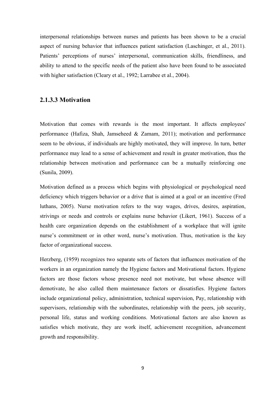interpersonal relationships between nurses and patients has been shown to be a crucial aspect of nursing behavior that influences patient satisfaction (Laschinger, et al., 2011). Patients' perceptions of nurses' interpersonal, communication skills, friendliness, and ability to attend to the specific needs of the patient also have been found to be associated with higher satisfaction (Cleary et al., 1992; Larrabee et al., 2004).

#### **2.1.3.3 Motivation**

Motivation that comes with rewards is the most important. It affects employees' performance (Hafiza, Shah, Jamseheed & Zamam, 2011); motivation and performance seem to be obvious, if individuals are highly motivated, they will improve. In turn, better performance may lead to a sense of achievement and result in greater motivation, thus the relationship between motivation and performance can be a mutually reinforcing one (Sunila, 2009).

Motivation defined as a process which begins with physiological or psychological need deficiency which triggers behavior or a drive that is aimed at a goal or an incentive (Fred luthans, 2005). Nurse motivation refers to the way wages, drives, desires, aspiration, strivings or needs and controls or explains nurse behavior (Likert, 1961). Success of a health care organization depends on the establishment of a workplace that will ignite nurse's commitment or in other word, nurse's motivation. Thus, motivation is the key factor of organizational success.

Herzberg, (1959) recognizes two separate sets of factors that influences motivation of the workers in an organization namely the Hygiene factors and Motivational factors. Hygiene factors are those factors whose presence need not motivate, but whose absence will demotivate, he also called them maintenance factors or dissatisfies. Hygiene factors include organizational policy, administration, technical supervision, Pay, relationship with supervisors, relationship with the subordinates, relationship with the peers, job security, personal life, status and working conditions. Motivational factors are also known as satisfies which motivate, they are work itself, achievement recognition, advancement growth and responsibility.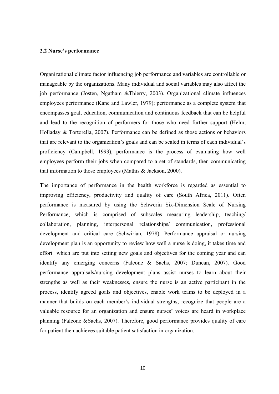#### **2.2 Nurse's performance**

Organizational climate factor influencing job performance and variables are controllable or manageable by the organizations. Many individual and social variables may also affect the job performance (Josten, Ngatham &Thierry, 2003). Organizational climate influences employees performance (Kane and Lawler, 1979); performance as a complete system that encompasses goal, education, communication and continuous feedback that can be helpful and lead to the recognition of performers for those who need further support (Helm, Holladay & Tortorella, 2007). Performance can be defined as those actions or behaviors that are relevant to the organization's goals and can be scaled in terms of each individual's proficiency (Campbell, 1993), performance is the process of evaluating how well employees perform their jobs when compared to a set of standards, then communicating that information to those employees (Mathis & Jackson, 2000).

The importance of performance in the health workforce is regarded as essential to improving efficiency, productivity and quality of care (South Africa, 2011). Often performance is measured by using the Schwerin Six-Dimension Scale of Nursing Performance, which is comprised of subscales measuring leadership, teaching/ collaboration, planning, interpersonal relationships/ communication, professional development and critical care (Schwirian, 1978). Performance appraisal or nursing development plan is an opportunity to review how well a nurse is doing, it takes time and effort which are put into setting new goals and objectives for the coming year and can identify any emerging concerns (Falcone & Sachs, 2007; Duncan, 2007). Good performance appraisals/nursing development plans assist nurses to learn about their strengths as well as their weaknesses, ensure the nurse is an active participant in the process, identify agreed goals and objectives, enable work teams to be deployed in a manner that builds on each member's individual strengths, recognize that people are a valuable resource for an organization and ensure nurses' voices are heard in workplace planning (Falcone &Sachs, 2007). Therefore, good performance provides quality of care for patient then achieves suitable patient satisfaction in organization.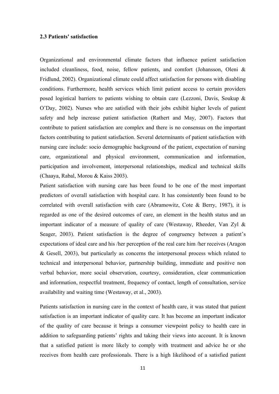#### **2.3 Patients' satisfaction**

Organizational and environmental climate factors that influence patient satisfaction included cleanliness, food, noise, fellow patients, and comfort (Johansson, Oleni & Fridlund, 2002). Organizational climate could affect satisfaction for persons with disabling conditions. Furthermore, health services which limit patient access to certain providers posed logistical barriers to patients wishing to obtain care (Lezzoni, Davis, Soukup & O'Day, 2002). Nurses who are satisfied with their jobs exhibit higher levels of patient safety and help increase patient satisfaction (Rathert and May, 2007). Factors that contribute to patient satisfaction are complex and there is no consensus on the important factors contributing to patient satisfaction. Several determinants of patient satisfaction with nursing care include: socio demographic background of the patient, expectation of nursing care, organizational and physical environment, communication and information, participation and involvement, interpersonal relationships, medical and technical skills (Chaaya, Rabal, Morou & Kaiss 2003).

Patient satisfaction with nursing care has been found to be one of the most important predictors of overall satisfaction with hospital care. It has consistently been found to be correlated with overall satisfaction with care (Abramowitz, Cote & Berry, 1987), it is regarded as one of the desired outcomes of care, an element in the health status and an important indicator of a measure of quality of care (Westaway, Rheeder, Van Zyl  $\&$ Seager, 2003). Patient satisfaction is the degree of congruency between a patient's expectations of ideal care and his /her perception of the real care him /her receives (Aragon & Gesell, 2003), but particularly as concerns the interpersonal process which related to technical and interpersonal behavior, partnership building, immediate and positive non verbal behavior, more social observation, courtesy, consideration, clear communication and information, respectful treatment, frequency of contact, length of consultation, service availability and waiting time (Westaway, et al., 2003).

Patients satisfaction in nursing care in the context of health care, it was stated that patient satisfaction is an important indicator of quality care. It has become an important indicator of the quality of care because it brings a consumer viewpoint policy to health care in addition to safeguarding patients' rights and taking their views into account. It is known that a satisfied patient is more likely to comply with treatment and advice he or she receives from health care professionals. There is a high likelihood of a satisfied patient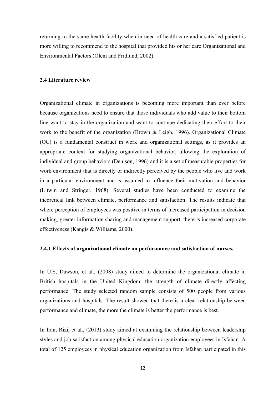returning to the same health facility when in need of health care and a satisfied patient is more willing to recommend to the hospital that provided his or her care Organizational and Environmental Factors (Oleni and Fridlund, 2002).

#### **2.4 Literature review**

Organizational climate in organizations is becoming more important than ever before because organizations need to ensure that those individuals who add value to their bottom line want to stay in the organization and want to continue dedicating their effort to their work to the benefit of the organization (Brown & Leigh, 1996). Organizational Climate (OC) is a fundamental construct in work and organizational settings, as it provides an appropriate context for studying organizational behavior, allowing the exploration of individual and group behaviors (Denison, 1996) and it is a set of measurable properties for work environment that is directly or indirectly perceived by the people who live and work in a particular environment and is assumed to influence their motivation and behavior (Litwin and Stringer, 1968). Several studies have been conducted to examine the theoretical link between climate, performance and satisfaction. The results indicate that where perception of employees was positive in terms of increased participation in decision making, greater information sharing and management support, there is increased corporate effectiveness (Kangis & Williams, 2000).

#### **2.4.1 Effects of organizational climate on performance and satisfaction of nurses.**

In U.S, Dawson, et al., (2008) study aimed to determine the organizational climate in British hospitals in the United Kingdom; the strength of climate directly affecting performance. The study selected random sample consists of 500 people from various organizations and hospitals. The result showed that there is a clear relationship between performance and climate, the more the climate is better the performance is best.

In Iran, Rizi, et al., (2013) study aimed at examining the relationship between leadership styles and job satisfaction among physical education organization employees in Isfahan. A total of 125 employees in physical education organization from Isfahan participated in this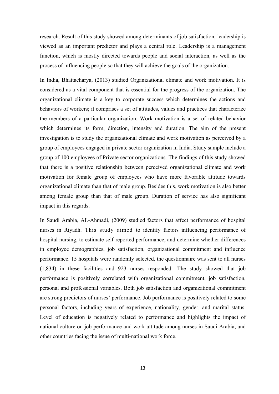research. Result of this study showed among determinants of job satisfaction, leadership is viewed as an important predictor and plays a central role. Leadership is a management function, which is mostly directed towards people and social interaction, as well as the process of influencing people so that they will achieve the goals of the organization.

In India, Bhattacharya, (2013) studied Organizational climate and work motivation. It is considered as a vital component that is essential for the progress of the organization. The organizational climate is a key to corporate success which determines the actions and behaviors of workers; it comprises a set of attitudes, values and practices that characterize the members of a particular organization. Work motivation is a set of related behavior which determines its form, direction, intensity and duration. The aim of the present investigation is to study the organizational climate and work motivation as perceived by a group of employees engaged in private sector organization in India. Study sample include a group of 100 employees of Private sector organizations. The findings of this study showed that there is a positive relationship between perceived organizational climate and work motivation for female group of employees who have more favorable attitude towards organizational climate than that of male group. Besides this, work motivation is also better among female group than that of male group. Duration of service has also significant impact in this regards.

In Saudi Arabia, AL-Ahmadi, (2009) studied factors that affect performance of hospital nurses in Riyadh. This study aimed to identify factors influencing performance of hospital nursing, to estimate self-reported performance, and determine whether differences in employee demographics, job satisfaction, organizational commitment and influence performance. 15 hospitals were randomly selected, the questionnaire was sent to all nurses (1,834) in these facilities and 923 nurses responded. The study showed that job performance is positively correlated with organizational commitment, job satisfaction, personal and professional variables. Both job satisfaction and organizational commitment are strong predictors of nurses' performance. Job performance is positively related to some personal factors, including years of experience, nationality, gender, and marital status. Level of education is negatively related to performance and highlights the impact of national culture on job performance and work attitude among nurses in Saudi Arabia, and other countries facing the issue of multi-national work force.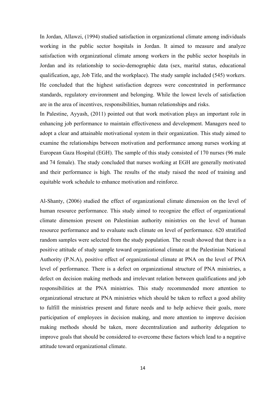In Jordan, Allawzi, (1994) studied satisfaction in organizational climate among individuals working in the public sector hospitals in Jordan. It aimed to measure and analyze satisfaction with organizational climate among workers in the public sector hospitals in Jordan and its relationship to socio-demographic data (sex, marital status, educational qualification, age, Job Title, and the workplace). The study sample included (545) workers. He concluded that the highest satisfaction degrees were concentrated in performance standards, regulatory environment and belonging. While the lowest levels of satisfaction are in the area of incentives, responsibilities, human relationships and risks.

In Palestine, Ayyash, (2011) pointed out that work motivation plays an important role in enhancing job performance to maintain effectiveness and development. Managers need to adopt a clear and attainable motivational system in their organization. This study aimed to examine the relationships between motivation and performance among nurses working at European Gaza Hospital (EGH). The sample of this study consisted of 170 nurses (96 male and 74 female). The study concluded that nurses working at EGH are generally motivated and their performance is high. The results of the study raised the need of training and equitable work schedule to enhance motivation and reinforce.

Al-Shanty, (2006) studied the effect of organizational climate dimension on the level of human resource performance. This study aimed to recognize the effect of organizational climate dimension present on Palestinian authority ministries on the level of human resource performance and to evaluate such climate on level of performance. 620 stratified random samples were selected from the study population. The result showed that there is a positive attitude of study sample toward organizational climate at the Palestinian National Authority (P.N.A), positive effect of organizational climate at PNA on the level of PNA level of performance. There is a defect on organizational structure of PNA ministries, a defect on decision making methods and irrelevant relation between qualifications and job responsibilities at the PNA ministries. This study recommended more attention to organizational structure at PNA ministries which should be taken to reflect a good ability to fulfill the ministries present and future needs and to help achieve their goals, more participation of employees in decision making, and more attention to improve decision making methods should be taken, more decentralization and authority delegation to improve goals that should be considered to overcome these factors which lead to a negative attitude toward organizational climate.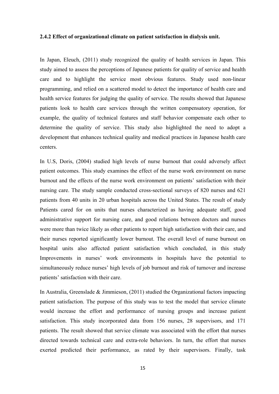#### **2.4.2 Effect of organizational climate on patient satisfaction in dialysis unit.**

In Japan, Eleuch, (2011) study recognized the quality of health services in Japan. This study aimed to assess the perceptions of Japanese patients for quality of service and health care and to highlight the service most obvious features. Study used non-linear programming, and relied on a scattered model to detect the importance of health care and health service features for judging the quality of service. The results showed that Japanese patients look to health care services through the written compensatory operation, for example, the quality of technical features and staff behavior compensate each other to determine the quality of service. This study also highlighted the need to adopt a development that enhances technical quality and medical practices in Japanese health care centers.

In U.S, Doris, (2004) studied high levels of nurse burnout that could adversely affect patient outcomes. This study examines the effect of the nurse work environment on nurse burnout and the effects of the nurse work environment on patients' satisfaction with their nursing care. The study sample conducted cross-sectional surveys of 820 nurses and 621 patients from 40 units in 20 urban hospitals across the United States. The result of study Patients cared for on units that nurses characterized as having adequate staff, good administrative support for nursing care, and good relations between doctors and nurses were more than twice likely as other patients to report high satisfaction with their care, and their nurses reported significantly lower burnout. The overall level of nurse burnout on hospital units also affected patient satisfaction which concluded, in this study Improvements in nurses' work environments in hospitals have the potential to simultaneously reduce nurses' high levels of job burnout and risk of turnover and increase patients' satisfaction with their care.

In Australia, Greenslade & Jimmieson, (2011) studied the Organizational factors impacting patient satisfaction. The purpose of this study was to test the model that service climate would increase the effort and performance of nursing groups and increase patient satisfaction. This study incorporated data from 156 nurses, 28 supervisors, and 171 patients. The result showed that service climate was associated with the effort that nurses directed towards technical care and extra-role behaviors. In turn, the effort that nurses exerted predicted their performance, as rated by their supervisors. Finally, task

15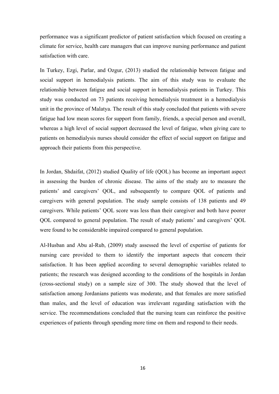performance was a significant predictor of patient satisfaction which focused on creating a climate for service, health care managers that can improve nursing performance and patient satisfaction with care.

In Turkey, Ezgi, Parlar, and Ozgur, (2013) studied the relationship between fatigue and social support in hemodialysis patients. The aim of this study was to evaluate the relationship between fatigue and social support in hemodialysis patients in Turkey. This study was conducted on 73 patients receiving hemodialysis treatment in a hemodialysis unit in the province of Malatya. The result of this study concluded that patients with severe fatigue had low mean scores for support from family, friends, a special person and overall, whereas a high level of social support decreased the level of fatigue, when giving care to patients on hemodialysis nurses should consider the effect of social support on fatigue and approach their patients from this perspective.

In Jordan, Shdaifat, (2012) studied Quality of life (QOL) has become an important aspect in assessing the burden of chronic disease. The aims of the study are to measure the patients' and caregivers' QOL, and subsequently to compare QOL of patients and caregivers with general population. The study sample consists of 138 patients and 49 caregivers. While patients' QOL score was less than their caregiver and both have poorer QOL compared to general population. The result of study patients' and caregivers' QOL were found to be considerable impaired compared to general population.

Al-Husban and Abu al-Rub, (2009) study assessed the level of expertise of patients for nursing care provided to them to identify the important aspects that concern their satisfaction. It has been applied according to several demographic variables related to patients; the research was designed according to the conditions of the hospitals in Jordan (cross-sectional study) on a sample size of 300. The study showed that the level of satisfaction among Jordanians patients was moderate, and that females are more satisfied than males, and the level of education was irrelevant regarding satisfaction with the service. The recommendations concluded that the nursing team can reinforce the positive experiences of patients through spending more time on them and respond to their needs.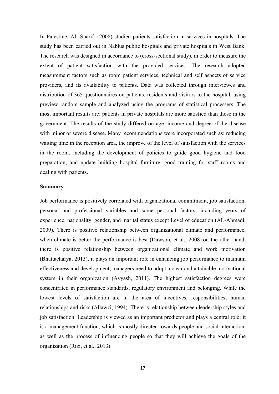In Palestine, Al- Sharif, (2008) studied patients satisfaction in services in hospitals. The study has been carried out in Nablus public hospitals and private hospitals in West Bank. The research was designed in accordance to (cross-sectional study), in order to measure the extent of patient satisfaction with the provided services. The research adopted measurement factors such as room patient services, technical and self aspects of service providers, and its availability to patients. Data was collected through interviewes and distribution of 365 questionnaires on patients, residents and visitors to the hospital, using preview random sample and analyzed using the programs of statistical processers. The most important results are: patients in private hospitals are more satisfied than those in the government. The results of the study differed on age, income and degree of the disease with minor or severe disease. Many recommendations were incorporated such as: reducing waiting time in the reception area, the improve of the level of satisfaction with the services in the room, including the development of policies to guide good hygiene and food preparation, and update building hospital furniture, good training for staff rooms and dealing with patients.

#### **Summary**

Job performance is positively correlated with organizational commitment, job satisfaction, personal and professional variables and some personal factors, including years of experience, nationality, gender, and marital status except Level of education (AL-Ahmadi, 2009). There is positive relationship between organizational climate and performance, when climate is better the performance is best (Dawson, et al., 2008).on the other hand, there is positive relationship between organizational climate and work motivation (Bhattacharya, 2013), it plays an important role in enhancing job performance to maintain effectiveness and development, managers need to adopt a clear and attainable motivational system in their organization (Ayyash, 2011). The highest satisfaction degrees were concentrated in performance standards, regulatory environment and belonging. While the lowest levels of satisfaction are in the area of incentives, responsibilities, human relationships and risks (Allawzi, 1994). There is relationship between leadership styles and job satisfaction. Leadership is viewed as an important predictor and plays a central role; it is a management function, which is mostly directed towards people and social interaction, as well as the process of influencing people so that they will achieve the goals of the organization (Rizi, et al., 2013).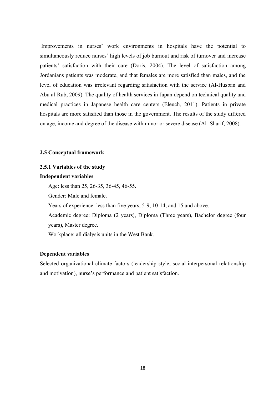Improvements in nurses' work environments in hospitals have the potential to simultaneously reduce nurses' high levels of job burnout and risk of turnover and increase patients' satisfaction with their care (Doris, 2004). The level of satisfaction among Jordanians patients was moderate, and that females are more satisfied than males, and the level of education was irrelevant regarding satisfaction with the service (Al-Husban and Abu al-Rub, 2009). The quality of health services in Japan depend on technical quality and medical practices in Japanese health care centers (Eleuch, 2011). Patients in private hospitals are more satisfied than those in the government. The results of the study differed on age, income and degree of the disease with minor or severe disease (Al- Sharif, 2008).

### **2.5 Conceptual framework**

### **2.5.1 Variables of the study**

#### **Independent variables**

Age: less than 25, 26-35, 36-45, 46-55**.** 

Gender: Male and female.

Years of experience: less than five years, 5-9, 10-14, and 15 and above.

Academic degree: Diploma (2 years), Diploma (Three years), Bachelor degree (four years), Master degree.

Workplace: all dialysis units in the West Bank.

# **Dependent variables**

Selected organizational climate factors (leadership style, social-interpersonal relationship and motivation), nurse's performance and patient satisfaction.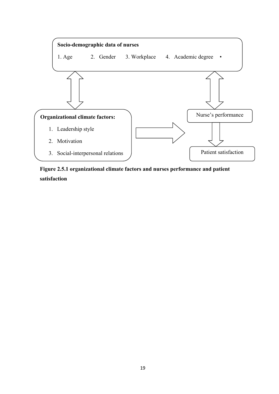

**Figure 2.5.1 organizational climate factors and nurses performance and patient satisfaction**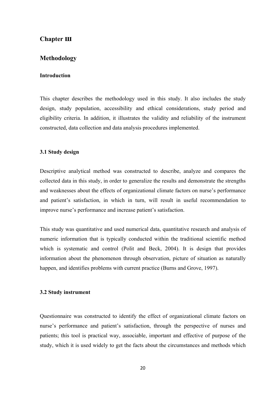# **Chapter ш**

# **Methodology**

# **Introduction**

This chapter describes the methodology used in this study. It also includes the study design, study population, accessibility and ethical considerations, study period and eligibility criteria. In addition, it illustrates the validity and reliability of the instrument constructed, data collection and data analysis procedures implemented.

### **3.1 Study design**

Descriptive analytical method was constructed to describe, analyze and compares the collected data in this study, in order to generalize the results and demonstrate the strengths and weaknesses about the effects of organizational climate factors on nurse's performance and patient's satisfaction, in which in turn, will result in useful recommendation to improve nurse's performance and increase patient's satisfaction.

This study was quantitative and used numerical data, quantitative research and analysis of numeric information that is typically conducted within the traditional scientific method which is systematic and control (Polit and Beck, 2004). It is design that provides information about the phenomenon through observation, picture of situation as naturally happen, and identifies problems with current practice (Burns and Grove, 1997).

### **3.2 Study instrument**

Questionnaire was constructed to identify the effect of organizational climate factors on nurse's performance and patient's satisfaction, through the perspective of nurses and patients; this tool is practical way, associable, important and effective of purpose of the study, which it is used widely to get the facts about the circumstances and methods which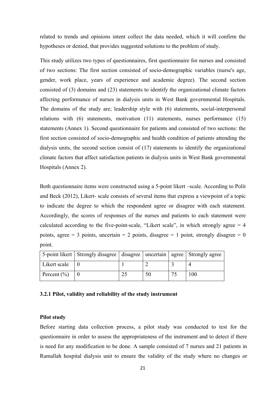related to trends and opinions intent collect the data needed, which it will confirm the hypotheses or denied, that provides suggested solutions to the problem of study.

This study utilizes two types of questionnaires, first questionnaire for nurses and consisted of two sections: The first section consisted of socio-demographic variables (nurse's age, gender, work place, years of experience and academic degree). The second section consisted of (3) domains and (23) statements to identify the organizational climate factors affecting performance of nurses in dialysis units in West Bank governmental Hospitals. The domains of the study are; leadership style with (6) statements, social-interpersonal relations with (6) statements, motivation (11) statements, nurses performance (15) statements (Annex 1). Second questionnaire for patients and consisted of two sections: the first section consisted of socio-demographic and health condition of patients attending the dialysis units, the second section consist of (17) statements to identify the organizational climate factors that affect satisfaction patients in dialysis units in West Bank governmental Hospitals (Annex 2).

Both questionnaire items were constructed using a 5-point likert –scale. According to Polit and Beck (2012), Likert- scale consists of several items that express a viewpoint of a topic to indicate the degree to which the respondent agree or disagree with each statement. Accordingly, the scores of responses of the nurses and patients to each statement were calculated according to the five-point-scale, "Likert scale", in which strongly agree  $= 4$ points, agree  $= 3$  points, uncertain  $= 2$  points, disagree  $= 1$  point, strongly disagree  $= 0$ point.

|                 | 5-point likert   Strongly disagree   disagree   uncertain   agree   Strongly agree |    |     |
|-----------------|------------------------------------------------------------------------------------|----|-----|
| Likert scale    |                                                                                    |    |     |
| Percent $(\% )$ |                                                                                    | 50 | 100 |

### **3.2.1 Pilot, validity and reliability of the study instrument**

#### **Pilot study**

Before starting data collection process, a pilot study was conducted to test for the questionnaire in order to assess the appropriateness of the instrument and to detect if there is need for any modification to be done. A sample consisted of 7 nurses and 21 patients in Ramallah hospital dialysis unit to ensure the validity of the study where no changes or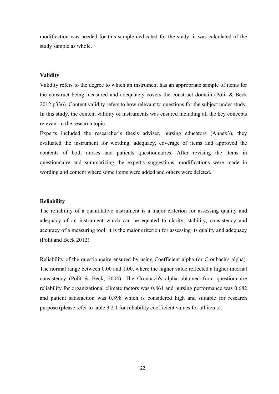modification was needed for this sample dedicated for the study; it was calculated of the study sample as whole.

### **Validity**

Validity refers to the degree to which an instrument has an appropriate sample of items for the construct being measured and adequately covers the construct domain (Polit & Beck 2012:p336). Content validity refers to how relevant to questions for the subject under study. In this study, the content validity of instruments was ensured including all the key concepts relevant to the research topic.

Experts included the researcher's thesis adviser, nursing educators (Annex3), they evaluated the instrument for wording, adequacy, coverage of items and approved the contents of both nurses and patients questionnaires. After revising the items in questionnaire and summarizing the expert's suggestions, modifications were made in wording and content where some items were added and others were deleted.

#### **Reliability**

The reliability of a quantitative instrument is a major criterion for assessing quality and adequacy of an instrument which can be equated to clarity, stability, consistency and accuracy of a measuring tool; it is the major criterion for assessing its quality and adequacy (Polit and Beck 2012).

Reliability of the questionnaire ensured by using Coefficient alpha (or Cronbach's alpha). The normal range between 0.00 and 1.00, where the higher value reflected a higher internal consistency (Polit & Beck, 2004). The Cronbach's alpha obtained from questionnaire reliability for organizational climate factors was 0.861 and nursing performance was 0.682 and patient satisfaction was 0.898 which is considered high and suitable for research purpose (please refer to table 3.2.1 for reliability coefficient values for all items).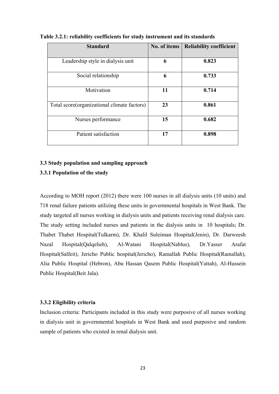| <b>Standard</b>                             | No. of items | <b>Reliability coefficient</b> |
|---------------------------------------------|--------------|--------------------------------|
| Leadership style in dialysis unit           | 6            | 0.823                          |
| Social relationship                         | 6            | 0.733                          |
| Motivation                                  | 11           | 0.714                          |
| Total score(organizational climate factors) | 23           | 0.861                          |
| Nurses performance                          | 15           | 0.682                          |
| Patient satisfaction                        | 17           | 0.898                          |

**Table 3.2.1: reliability coefficients for study instrument and its standards** 

# **3.3 Study population and sampling approach**

# **3.3.1 Population of the study**

According to MOH report (2012) there were 100 nurses in all dialysis units (10 units) and 718 renal failure patients utilizing these units in governmental hospitals in West Bank. The study targeted all nurses working in dialysis units and patients receiving renal dialysis care. The study setting included nurses and patients in the dialysis units in 10 hospitals; Dr. Thabet Thabet Hospital(Tulkarm), Dr. Khalil Suleiman Hospital(Jenin), Dr. Darweesh Nazal Hospital(Qalqelieh), Al-Watani Hospital(Nablus), Dr.Yasser Arafat Hospital(Salfeit), Jericho Public hospital(Jericho), Ramallah Public Hospital(Ramallah), Alia Public Hospital (Hebron), Abu Hassan Qasem Public Hospital(Yattah), Al-Hussein Public Hospital(Beit Jala).

### **3.3.2 Eligibility criteria**

Inclusion criteria: Participants included in this study were purposive of all nurses working in dialysis unit in governmental hospitals in West Bank and used purposive and random sample of patients who existed in renal dialysis unit.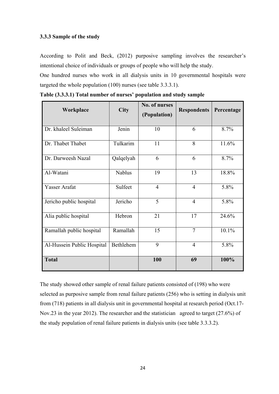# **3.3.3 Sample of the study**

According to Polit and Beck, (2012) purposive sampling involves the researcher's intentional choice of individuals or groups of people who will help the study.

One hundred nurses who work in all dialysis units in 10 governmental hospitals were targeted the whole population (100) nurses (see table 3.3.3.1).

| Workplace                  | <b>City</b>   | No. of nurses<br>(Population) | <b>Respondents</b> | Percentage |
|----------------------------|---------------|-------------------------------|--------------------|------------|
| Dr. khaleel Suleiman       | Jenin         | 10                            | 6                  | 8.7%       |
| Dr. Thabet Thabet          | Tulkarim      | 11                            | 8                  | 11.6%      |
| Dr. Darweesh Nazal         | Qalqelyah     | 6                             | 6                  | 8.7%       |
| Al-Watani                  | <b>Nablus</b> | 19                            | 13                 | 18.8%      |
| Yasser Arafat              | Sulfeet       | $\overline{4}$                | 4                  | 5.8%       |
| Jericho public hospital    | Jericho       | 5                             | $\overline{4}$     | 5.8%       |
| Alia public hospital       | Hebron        | 21                            | 17                 | 24.6%      |
| Ramallah public hospital   | Ramallah      | 15                            | $\overline{7}$     | 10.1%      |
| Al-Hussein Public Hospital | Bethlehem     | 9                             | 4                  | 5.8%       |
| <b>Total</b>               |               | 100                           | 69                 | 100%       |

**Table (3.3.3.1) Total number of nurses' population and study sample** 

The study showed other sample of renal failure patients consisted of (198) who were selected as purposive sample from renal failure patients (256) who is setting in dialysis unit from (718) patients in all dialysis unit in governmental hospital at research period (Oct.17- Nov.23 in the year 2012). The researcher and the statistician agreed to target (27.6%) of the study population of renal failure patients in dialysis units (see table 3.3.3.2).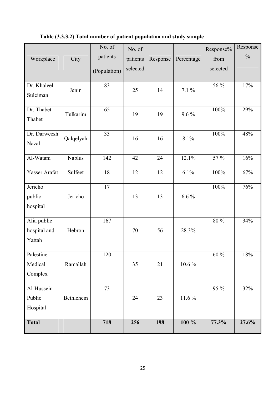| Workplace            | City          | No. of<br>patients<br>(Population) | No. of<br>patients<br>selected | Response | Percentage | Response%<br>from<br>selected | Response<br>$\frac{0}{0}$ |
|----------------------|---------------|------------------------------------|--------------------------------|----------|------------|-------------------------------|---------------------------|
|                      |               |                                    |                                |          |            |                               |                           |
| Dr. Khaleel          | Jenin         | 83                                 | 25                             | 14       | $7.1\%$    | 56 %                          | 17%                       |
| Suleiman             |               |                                    |                                |          |            |                               |                           |
| Dr. Thabet<br>Thabet | Tulkarim      | 65                                 | 19                             | 19       | $9.6\%$    | 100%                          | 29%                       |
| Dr. Darweesh         |               | 33                                 |                                |          |            | 100%                          | 48%                       |
| Nazal                | Qalqelyah     |                                    | 16                             | 16       | 8.1%       |                               |                           |
| Al-Watani            | <b>Nablus</b> | 142                                | 42                             | 24       | 12.1%      | 57 %                          | 16%                       |
|                      |               |                                    |                                |          |            |                               |                           |
| Yasser Arafat        | Sulfeet       | 18                                 | 12                             | 12       | 6.1%       | 100%                          | 67%                       |
| Jericho              |               | 17                                 |                                |          |            | 100%                          | 76%                       |
| public               | Jericho       |                                    | 13                             | 13       | $6.6\%$    |                               |                           |
| hospital             |               |                                    |                                |          |            |                               |                           |
| Alia public          |               | 167                                |                                |          |            | 80 %                          | 34%                       |
| hospital and         | Hebron        |                                    | 70                             | 56       | 28.3%      |                               |                           |
| Yattah               |               |                                    |                                |          |            |                               |                           |
| Palestine            |               | 120                                |                                |          |            | $60\,\%$                      | $18\%$                    |
| Medical              | Ramallah      |                                    | 35                             | 21       | $10.6\%$   |                               |                           |
| Complex              |               |                                    |                                |          |            |                               |                           |
|                      |               |                                    |                                |          |            |                               |                           |
| Al-Hussein           |               | 73                                 |                                |          |            | 95 %                          | 32%                       |
| Public               | Bethlehem     |                                    | 24                             | 23       | $11.6\%$   |                               |                           |
| Hospital             |               |                                    |                                |          |            |                               |                           |
| <b>Total</b>         |               | 718                                | 256                            | 198      | $100 \%$   | 77.3%                         | 27.6%                     |

# **Table (3.3.3.2) Total number of patient population and study sample**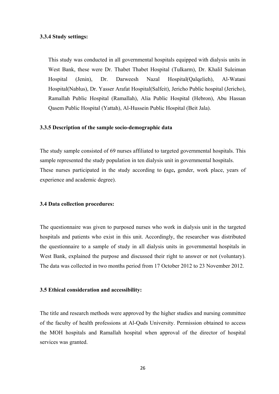### **3.3.4 Study settings:**

This study was conducted in all governmental hospitals equipped with dialysis units in West Bank, these were Dr. Thabet Thabet Hospital (Tulkarm), Dr. Khalil Suleiman Hospital (Jenin), Dr. Darweesh Nazal Hospital(Qalqelieh), Al-Watani Hospital(Nablus), Dr. Yasser Arafat Hospital(Salfeit), Jericho Public hospital (Jericho), Ramallah Public Hospital (Ramallah), Alia Public Hospital (Hebron), Abu Hassan Qasem Public Hospital (Yattah), Al-Hussein Public Hospital (Beit Jala).

#### **3.3.5 Description of the sample socio-demographic data**

The study sample consisted of 69 nurses affiliated to targeted governmental hospitals. This sample represented the study population in ten dialysis unit in governmental hospitals. These nurses participated in the study according to **(**age**,** gender, work place, years of experience and academic degree).

#### **3.4 Data collection procedures:**

The questionnaire was given to purposed nurses who work in dialysis unit in the targeted hospitals and patients who exist in this unit. Accordingly, the researcher was distributed the questionnaire to a sample of study in all dialysis units in governmental hospitals in West Bank, explained the purpose and discussed their right to answer or not (voluntary). The data was collected in two months period from 17 October 2012 to 23 November 2012.

#### **3.5 Ethical consideration and accessibility:**

The title and research methods were approved by the higher studies and nursing committee of the faculty of health professions at Al-Quds University. Permission obtained to access the MOH hospitals and Ramallah hospital when approval of the director of hospital services was granted.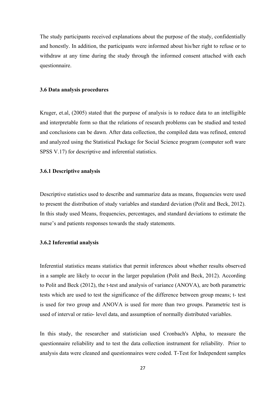The study participants received explanations about the purpose of the study, confidentially and honestly. In addition, the participants were informed about his/her right to refuse or to withdraw at any time during the study through the informed consent attached with each questionnaire.

#### **3.6 Data analysis procedures**

Kruger, et.al, (2005) stated that the purpose of analysis is to reduce data to an intelligible and interpretable form so that the relations of research problems can be studied and tested and conclusions can be dawn. After data collection, the compiled data was refined, entered and analyzed using the Statistical Package for Social Science program (computer soft ware SPSS V.17) for descriptive and inferential statistics.

#### **3.6.1 Descriptive analysis**

Descriptive statistics used to describe and summarize data as means, frequencies were used to present the distribution of study variables and standard deviation (Polit and Beck, 2012). In this study used Means, frequencies, percentages, and standard deviations to estimate the nurse's and patients responses towards the study statements.

#### **3.6.2 Inferential analysis**

Inferential statistics means statistics that permit inferences about whether results observed in a sample are likely to occur in the larger population (Polit and Beck, 2012). According to Polit and Beck (2012), the t-test and analysis of variance (ANOVA), are both parametric tests which are used to test the significance of the difference between group means; t- test is used for two group and ANOVA is used for more than two groups. Parametric test is used of interval or ratio- level data, and assumption of normally distributed variables.

In this study, the researcher and statistician used Cronbach's Alpha, to measure the questionnaire reliability and to test the data collection instrument for reliability. Prior to analysis data were cleaned and questionnaires were coded. T-Test for Independent samples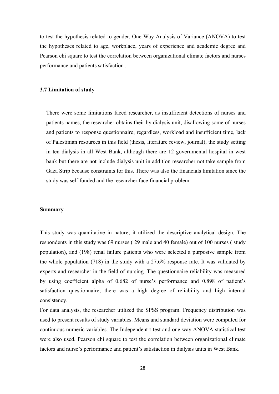to test the hypothesis related to gender, One-Way Analysis of Variance (ANOVA) to test the hypotheses related to age, workplace, years of experience and academic degree and Pearson chi square to test the correlation between organizational climate factors and nurses performance and patients satisfaction .

# **3.7 Limitation of study**

There were some limitations faced researcher, as insufficient detections of nurses and patients names, the researcher obtains their by dialysis unit, disallowing some of nurses and patients to response questionnaire; regardless, workload and insufficient time, lack of Palestinian resources in this field (thesis, literature review, journal), the study setting in ten dialysis in all West Bank, although there are 12 governmental hospital in west bank but there are not include dialysis unit in addition researcher not take sample from Gaza Strip because constraints for this. There was also the financials limitation since the study was self funded and the researcher face financial problem.

#### **Summary**

This study was quantitative in nature; it utilized the descriptive analytical design. The respondents in this study was 69 nurses ( 29 male and 40 female) out of 100 nurses ( study population), and (198) renal failure patients who were selected a purposive sample from the whole population (718) in the study with a 27.6% response rate. It was validated by experts and researcher in the field of nursing. The questionnaire reliability was measured by using coefficient alpha of 0.682 of nurse's performance and 0.898 of patient's satisfaction questionnaire; there was a high degree of reliability and high internal consistency.

For data analysis, the researcher utilized the SPSS program. Frequency distribution was used to present results of study variables. Means and standard deviation were computed for continuous numeric variables. The Independent t-test and one-way ANOVA statistical test were also used. Pearson chi square to test the correlation between organizational climate factors and nurse's performance and patient's satisfaction in dialysis units in West Bank.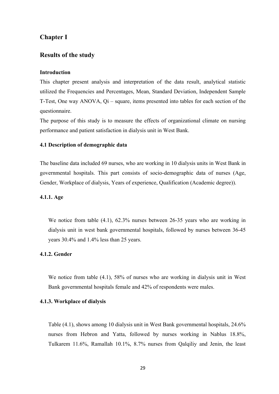# **Chapter Ι**

# **Results of the study**

#### **Introduction**

This chapter present analysis and interpretation of the data result, analytical statistic utilized the Frequencies and Percentages, Mean, Standard Deviation, Independent Sample T-Test, One way ANOVA, Qi – square, items presented into tables for each section of the questionnaire.

The purpose of this study is to measure the effects of organizational climate on nursing performance and patient satisfaction in dialysis unit in West Bank.

### **4.1 Description of demographic data**

The baseline data included 69 nurses, who are working in 10 dialysis units in West Bank in governmental hospitals. This part consists of socio-demographic data of nurses (Age, Gender, Workplace of dialysis, Years of experience, Qualification (Academic degree)).

# **4.1.1. Age**

We notice from table (4.1), 62.3% nurses between 26-35 years who are working in dialysis unit in west bank governmental hospitals, followed by nurses between 36-45 years 30.4% and 1.4% less than 25 years.

# **4.1.2. Gender**

We notice from table (4.1), 58% of nurses who are working in dialysis unit in West Bank governmental hospitals female and 42% of respondents were males.

# **4.1.3. Workplace of dialysis**

Table (4.1), shows among 10 dialysis unit in West Bank governmental hospitals, 24.6% nurses from Hebron and Yatta, followed by nurses working in Nablus 18.8%, Tulkarem 11.6%, Ramallah 10.1%, 8.7% nurses from Qalqiliy and Jenin, the least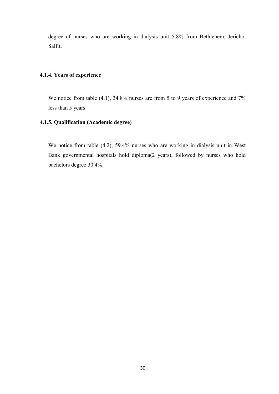degree of nurses who are working in dialysis unit 5.8% from Bethlehem, Jericho, Salfit.

# **4.1.4. Years of experience**

We notice from table (4.1), 34.8% nurses are from 5 to 9 years of experience and 7% less than 5 years.

## **4.1.5. Qualification (Academic degree)**

We notice from table (4.2), 59.4% nurses who are working in dialysis unit in West Bank governmental hospitals hold diploma(2 years), followed by nurses who hold bachelors degree 30.4%.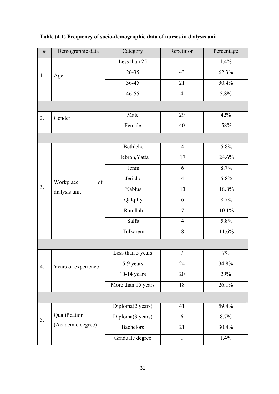| $\#$ | Demographic data                 | Category           | Repetition     | Percentage |
|------|----------------------------------|--------------------|----------------|------------|
|      |                                  | Less than 25       | $\mathbf{1}$   | 1.4%       |
| 1.   | Age                              | $26 - 35$          | 43             | 62.3%      |
|      |                                  | $36 - 45$          | 21             | 30.4%      |
|      |                                  | 46-55              | $\overline{4}$ | 5.8%       |
|      |                                  |                    |                |            |
| 2.   | Gender                           | Male               | 29             | 42%        |
|      |                                  | Female             | 40             | .58%       |
|      |                                  |                    |                |            |
|      |                                  | Bethlehe           | $\overline{4}$ | 5.8%       |
|      |                                  | Hebron, Yatta      | 17             | 24.6%      |
|      | Workplace<br>of<br>dialysis unit | Jenin              | 6              | 8.7%       |
|      |                                  | Jericho            | $\overline{4}$ | 5.8%       |
| 3.   |                                  | Nablus             | 13             | 18.8%      |
|      |                                  | Qalqiliy           | 6              | 8.7%       |
|      |                                  | Ramllah            | $\overline{7}$ | 10.1%      |
|      |                                  | Salfit             | $\overline{4}$ | 5.8%       |
|      |                                  | Tulkarem           | 8              | 11.6%      |
|      |                                  |                    |                |            |
|      |                                  | Less than 5 years  | $\overline{7}$ | $7\%$      |
| 4.   | Years of experience              | 5-9 years          | 24             | 34.8%      |
|      |                                  | $10-14$ years      | 20             | 29%        |
|      |                                  | More than 15 years | 18             | 26.1%      |
|      |                                  |                    |                |            |
|      |                                  | Diploma(2 years)   | 41             | 59.4%      |
| 5.   | Qualification                    | Diploma(3 years)   | 6              | 8.7%       |
|      | (Academic degree)                | <b>Bachelors</b>   | 21             | 30.4%      |
|      |                                  | Graduate degree    | $\mathbf{1}$   | 1.4%       |

# **Table (4.1) Frequency of socio-demographic data of nurses in dialysis unit**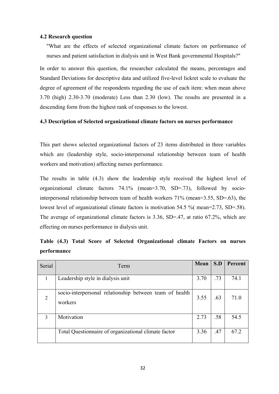#### **4.2 Research question**

"What are the effects of selected organizational climate factors on performance of nurses and patient satisfaction in dialysis unit in West Bank governmental Hospitals?"

In order to answer this question, the researcher calculated the means, percentages and Standard Deviations for descriptive data and utilized five-level lickret scale to evaluate the degree of agreement of the respondents regarding the use of each item: when mean above 3.70 (high) 2.30-3.70 (moderate) Less than 2.30 (low). The results are presented in a descending form from the highest rank of responses to the lowest.

### **4.3 Description of Selected organizational climate factors on nurses performance**

This part shows selected organizational factors of 23 items distributed in three variables which are (leadership style, socio-interpersonal relationship between team of health workers and motivation) affecting nurses performance.

The results in table (4.3) show the leadership style received the highest level of organizational climate factors 74.1% (mean=3.70, SD=.73), followed by sociointerpersonal relationship between team of health workers 71% (mean=3.55, SD=.63), the lowest level of organizational climate factors is motivation 54.5 %( mean=2.73, SD=.58). The average of organizational climate factors is 3.36, SD=.47, at ratio 67.2%, which are effecting on nurses performance in dialysis unit.

| Serial | Term                                                               | Mean | S.D | <b>Percent</b> |
|--------|--------------------------------------------------------------------|------|-----|----------------|
|        | Leadership style in dialysis unit                                  | 3.70 | .73 | 74.1           |
| 2      | socio-interpersonal relationship between team of health<br>workers | 3.55 | .63 | 71.0           |
| 3      | Motivation                                                         | 2.73 | .58 | 54.5           |
|        | Total Questionnaire of organizational climate factor               | 3.36 | .47 | 67.2           |

**Table (4.3) Total Score of Selected Organizational climate Factors on nurses performance**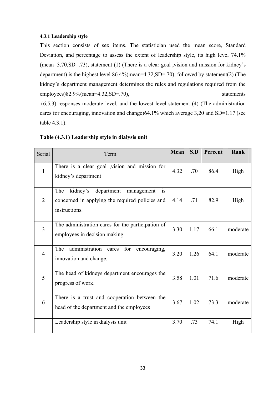# **4.3.1 Leadership style**

This section consists of sex items. The statistician used the mean score, Standard Deviation, and percentage to assess the extent of leadership style, its high level 74.1% (mean=3.70,SD=.73), statement (1) (There is a clear goal ,vision and mission for kidney's department) is the highest level 86.4%(mean=4.32,SD=.70), followed by statement(2) (The kidney's department management determines the rules and regulations required from the employees)82.9%(mean=4.32,SD=.70), statements (6,5,3) responses moderate level, and the lowest level statement (4) (The administration cares for encouraging, innovation and change)64.1% which average 3,20 and SD=1.17 (see

table 4.3.1).

| Serial         | Term                                                                                                                         | <b>Mean</b> | S.D  | Percent | Rank     |
|----------------|------------------------------------------------------------------------------------------------------------------------------|-------------|------|---------|----------|
| $\mathbf{1}$   | There is a clear goal , vision and mission for<br>kidney's department                                                        | 4.32        | .70  | 86.4    | High     |
| $\overline{2}$ | kidney's<br>department<br>The<br>management<br><b>1S</b><br>concerned in applying the required policies and<br>instructions. | 4.14        | .71  | 82.9    | High     |
| $\overline{3}$ | The administration cares for the participation of<br>employees in decision making.                                           | 3.30        | 1.17 | 66.1    | moderate |
| $\overline{4}$ | administration<br>The<br>for<br>cares<br>encouraging,<br>innovation and change.                                              | 3.20        | 1.26 | 64.1    | moderate |
| 5              | The head of kidneys department encourages the<br>progress of work.                                                           | 3.58        | 1.01 | 71.6    | moderate |
| 6              | There is a trust and cooperation between the<br>head of the department and the employees                                     | 3.67        | 1.02 | 73.3    | moderate |
|                | Leadership style in dialysis unit                                                                                            | 3.70        | .73  | 74.1    | High     |

# **Table (4.3.1) Leadership style in dialysis unit**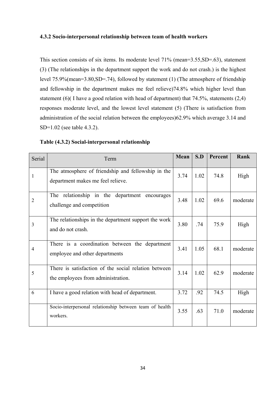### **4.3.2 Socio-interpersonal relationship between team of health workers**

This section consists of six items. Its moderate level 71% (mean=3.55,SD=.63), statement (3) (The relationships in the department support the work and do not crash.) is the highest level 75.9%(mean=3.80,SD=.74), followed by statement (1) (The atmosphere of friendship and fellowship in the department makes me feel relieve)74.8% which higher level than statement (6)( I have a good relation with head of department) that 74.5%, statements (2,4) responses moderate level, and the lowest level statement (5) (There is satisfaction from administration of the social relation between the employees)62.9% which average 3.14 and SD=1.02 (see table 4.3.2).

| Serial         | Term                                                                                       | Mean | S.D  | Percent | Rank     |
|----------------|--------------------------------------------------------------------------------------------|------|------|---------|----------|
| 1              | The atmosphere of friendship and fellowship in the<br>department makes me feel relieve.    | 3.74 | 1.02 | 74.8    | High     |
| $\overline{2}$ | The relationship in the department encourages<br>challenge and competition                 | 3.48 | 1.02 | 69.6    | moderate |
| $\mathfrak{Z}$ | The relationships in the department support the work<br>and do not crash.                  | 3.80 | .74  | 75.9    | High     |
| 4              | There is a coordination between the department<br>employee and other departments           | 3.41 | 1.05 | 68.1    | moderate |
| 5              | There is satisfaction of the social relation between<br>the employees from administration. | 3.14 | 1.02 | 62.9    | moderate |
| 6              | I have a good relation with head of department.                                            | 3.72 | .92  | 74.5    | High     |
|                | Socio-interpersonal relationship between team of health<br>workers.                        | 3.55 | .63  | 71.0    | moderate |

# **Table (4.3.2) Social-interpersonal relationship**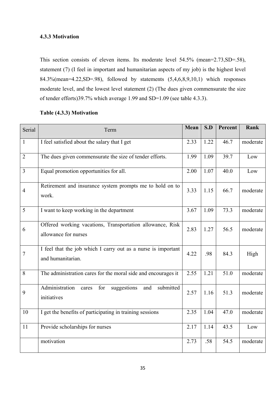# **4.3.3 Motivation**

This section consists of eleven items. Its moderate level 54.5% (mean=2.73,SD=.58), statement (7) (I feel in important and humanitarian aspects of my job) is the highest level 84.3%(mean=4.22,SD=.98), followed by statements (5,4,6,8,9,10,1) which responses moderate level, and the lowest level statement (2) (The dues given commensurate the size of tender efforts)39.7% which average 1.99 and SD=1.09 (see table 4.3.3).

| Serial         | Term                                                                               | Mean | S.D  | Percent | Rank     |
|----------------|------------------------------------------------------------------------------------|------|------|---------|----------|
| $\mathbf{1}$   | I feel satisfied about the salary that I get                                       | 2.33 | 1.22 | 46.7    | moderate |
| $\overline{2}$ | The dues given commensurate the size of tender efforts.                            | 1.99 | 1.09 | 39.7    | Low      |
| 3              | Equal promotion opportunities for all.                                             | 2.00 | 1.07 | 40.0    | Low      |
| $\overline{4}$ | Retirement and insurance system prompts me to hold on to<br>work.                  | 3.33 | 1.15 | 66.7    | moderate |
| 5              | I want to keep working in the department                                           | 3.67 | 1.09 | 73.3    | moderate |
| 6              | Offered working vacations, Transportation allowance, Risk<br>allowance for nurses  | 2.83 | 1.27 | 56.5    | moderate |
| $\overline{7}$ | I feel that the job which I carry out as a nurse is important<br>and humanitarian. | 4.22 | .98  | 84.3    | High     |
| 8              | The administration cares for the moral side and encourages it                      | 2.55 | 1.21 | 51.0    | moderate |
| 9              | Administration<br>suggestions<br>submitted<br>for<br>and<br>cares<br>initiatives   | 2.57 | 1.16 | 51.3    | moderate |
| 10             | I get the benefits of participating in training sessions                           | 2.35 | 1.04 | 47.0    | moderate |
| 11             | Provide scholarships for nurses                                                    | 2.17 | 1.14 | 43.5    | Low      |
|                | motivation                                                                         | 2.73 | .58  | 54.5    | moderate |

# **Table (4.3.3) Motivation**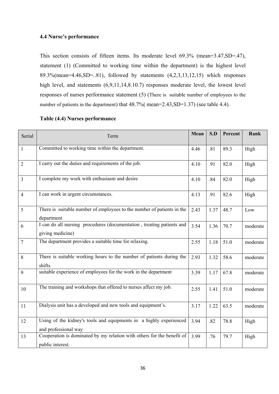## **4.4 Nurse's performance**

This section consists of fifteen items. Its moderate level 69.3% (mean=3.47,SD=.47), statement (1) (Committed to working time within the department) is the highest level 89.3%(mean=4.46,SD=..81), followed by statements (4,2,3,13,12,15) which responses high level, and statements (6,9,11,14,8.10.7) responses moderate level, the lowest level responses of nurses performance statement (5) (There is suitable number of employees to the number of patients in the department) that  $48.7\%$  (mean=2.43, SD=1.37) (see table 4.4).

| Serial         | Term                                                                                       | Mean | S.D  | Percent | Rank     |
|----------------|--------------------------------------------------------------------------------------------|------|------|---------|----------|
| $\mathbf{1}$   | Committed to working time within the department.                                           | 4.46 | .81  | 89.3    | High     |
| $\overline{2}$ | I carry out the duties and requirements of the job.                                        | 4.10 | .91  | 82.0    | High     |
| $\overline{3}$ | I complete my work with enthusiasm and desire                                              | 4.10 | .84  | 82.0    | High     |
| $\overline{4}$ | I can work in urgent circumstances.                                                        | 4.13 | .91  | 82.6    | High     |
| 5              | There is suitable number of employees to the number of patients in the<br>department       | 2.43 | 1.37 | 48.7    | Low      |
| 6              | I can do all nursing procedures (documentation, treating patients and<br>giving medicine)  | 3.54 | 1.36 | 70.7    | moderate |
| $\overline{7}$ | The department provides a suitable time for relaxing.                                      | 2.55 | 1.18 | 51.0    | moderate |
| 8              | There is suitable working hours to the number of patients during the<br>shifts.            | 2.93 | 1.32 | 58.6    | moderate |
| 9              | suitable experience of employees for the work in the department                            | 3.39 | 1.17 | 67.8    | moderate |
| 10             | The training and workshops that offered to nurses affect my job.                           | 2.55 | 1.41 | 51.0    | moderate |
| 11             | Dialysis unit has a developed and new tools and equipment's.                               | 3.17 | 1.22 | 63.5    | moderate |
| 12             | Using of the kidney's tools and equipments in a highly experienced<br>and professional way | 3.94 | .82  | 78.8    | High     |
| 13             | Cooperation is dominated by my relation with others for the benefit of<br>public interest. | 3.99 | .76  | 79.7    | High     |

### **Table (4.4) Nurses performance**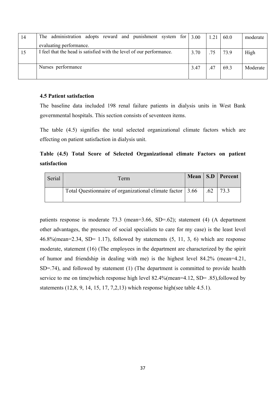| 14 | The administration adopts reward and punishment system for $\vert 3.00 \rangle$ |      | 1.21 | 60.0 | moderate |
|----|---------------------------------------------------------------------------------|------|------|------|----------|
|    | evaluating performance.                                                         |      |      |      |          |
|    | I feel that the head is satisfied with the level of our performance.            | 3.70 | .75  | 73.9 | High     |
|    |                                                                                 |      |      |      |          |
|    | Nurses performance                                                              | 3.47 | .47  | 69.3 | Moderate |
|    |                                                                                 |      |      |      |          |

# **4.5 Patient satisfaction**

The baseline data included 198 renal failure patients in dialysis units in West Bank governmental hospitals. This section consists of seventeen items.

The table (4.5) signifies the total selected organizational climate factors which are effecting on patient satisfaction in dialysis unit.

**Table (4.5) Total Score of Selected Organizational climate Factors on patient satisfaction** 

| Serial | Term                                                      |     | Mean   S.D   Percent |
|--------|-----------------------------------------------------------|-----|----------------------|
|        | Total Questionnaire of organizational climate factor 3.66 | .62 | 73.3                 |

patients response is moderate 73.3 (mean=3.66, SD=.62); statement (4) (A department other advantages, the presence of social specialists to care for my case) is the least level  $46.8\%$ (mean=2.34, SD= 1.17), followed by statements  $(5, 11, 3, 6)$  which are response moderate, statement (16) (The employees in the department are characterized by the spirit of humor and friendship in dealing with me) is the highest level 84.2% (mean=4.21, SD=.74), and followed by statement (1) (The department is committed to provide health service to me on time)which response high level 82.4%(mean=4.12, SD= .85),followed by statements (12,8, 9, 14, 15, 17, 7,2,13) which response high(see table 4.5.1).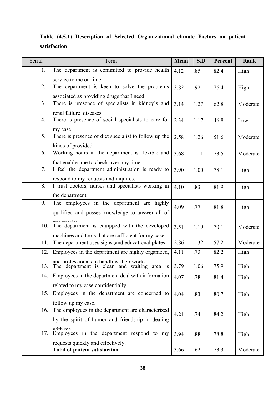|              |  | Table (4.5.1) Description of Selected Organizational climate Factors on patient |  |  |
|--------------|--|---------------------------------------------------------------------------------|--|--|
| satisfaction |  |                                                                                 |  |  |

| Serial         | Term                                                  | Mean | S.D  | Percent | Rank     |
|----------------|-------------------------------------------------------|------|------|---------|----------|
| 1.             | The department is committed to provide health         | 4.12 | .85  | 82.4    | High     |
|                | service to me on time                                 |      |      |         |          |
| 2.             | The department is keen to solve the problems          | 3.82 | .92  | 76.4    | High     |
|                | associated as providing drugs that I need.            |      |      |         |          |
| 3 <sub>1</sub> | There is presence of specialists in kidney's and      | 3.14 | 1.27 | 62.8    | Moderate |
|                | renal failure diseases                                |      |      |         |          |
| 4.             | There is presence of social specialists to care for   | 2.34 | 1.17 | 46.8    | Low      |
|                | my case.                                              |      |      |         |          |
| 5.             | There is presence of diet specialist to follow up the | 2.58 | 1.26 | 51.6    | Moderate |
|                | kinds of provided.                                    |      |      |         |          |
| 6.             | Working hours in the department is flexible and       | 3.68 | 1.11 | 73.5    | Moderate |
|                | that enables me to check over any time                |      |      |         |          |
| 7.             | I feel the department administration is ready to      | 3.90 | 1.00 | 78.1    | High     |
|                | respond to my requests and inquires.                  |      |      |         |          |
| 8.             | I trust doctors, nurses and specialists working in    | 4.10 | .83  | 81.9    | High     |
|                | the department.                                       |      |      |         |          |
| 9.             | The employees in the department are highly            | 4.09 | .77  | 81.8    | High     |
|                | qualified and posses knowledge to answer all of       |      |      |         |          |
| 10.            | The department is equipped with the developed         | 3.51 | 1.19 | 70.1    | Moderate |
|                | machines and tools that are sufficient for my case.   |      |      |         |          |
| 11.            | The department uses signs, and educational plates     | 2.86 | 1.32 | 57.2    | Moderate |
| 12.1           | Employees in the department are highly organized,     | 4.11 | .73  | 82.2    | High     |
|                | and professionals in handling their works             |      |      |         |          |
| 13.            | The department is clean and waiting area is           | 3.79 | 1.06 | 75.9    | High     |
| 14.            | Employees in the department deal with information     | 4.07 | .78  | 81.4    | High     |
|                | related to my case confidentially.                    |      |      |         |          |
| 15.            | Employees in the department are concerned to          | 4.04 | .83  | 80.7    | High     |
|                | follow up my case.                                    |      |      |         |          |
| 16.            | The employees in the department are characterized     | 4.21 | .74  | 84.2    | High     |
|                | by the spirit of humor and friendship in dealing      |      |      |         |          |
|                | with ma                                               |      |      |         |          |
| 17.            | Employees in the department respond to my             | 3.94 | .88  | 78.8    | High     |
|                | requests quickly and effectively.                     |      |      |         |          |
|                | <b>Total of patient satisfaction</b>                  | 3.66 | .62  | 73.3    | Moderate |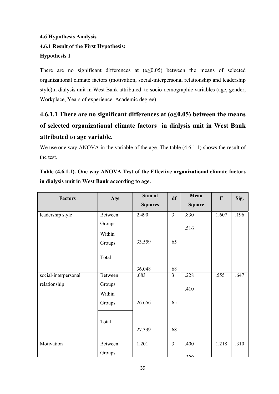# **4.6 Hypothesis Analysis 4.6.1 Result of the First Hypothesis: Hypothesis 1**

There are no significant differences at  $(\alpha \le 0.05)$  between the means of selected organizational climate factors (motivation, social-interpersonal relationship and leadership style)in dialysis unit in West Bank attributed to socio-demographic variables (age, gender, Workplace, Years of experience, Academic degree)

# **4.6.1.1 There are no significant differences at (α≤0.05) between the means of selected organizational climate factors in dialysis unit in West Bank attributed to age variable.**

We use one way ANOVA in the variable of the age. The table  $(4.6.1.1)$  shows the result of the test.

# **Table (4.6.1.1). One way ANOVA Test of the Effective organizational climate factors in dialysis unit in West Bank according to age.**

| <b>Factors</b>       | Age     | Sum of         | df             | Mean          | $\mathbf{F}$ | Sig. |
|----------------------|---------|----------------|----------------|---------------|--------------|------|
|                      |         | <b>Squares</b> |                | <b>Square</b> |              |      |
| leadership style     | Between | 2.490          | $\overline{3}$ | .830          | 1.607        | .196 |
|                      | Groups  |                |                | .516          |              |      |
|                      | Within  |                |                |               |              |      |
|                      | Groups  | 33.559         | 65             |               |              |      |
|                      | Total   |                |                |               |              |      |
|                      |         | 36.048         | 68             |               |              |      |
| social-interpersonal | Between | .683           | $\overline{3}$ | .228          | .555         | .647 |
| relationship         | Groups  |                |                | .410          |              |      |
|                      | Within  |                |                |               |              |      |
|                      | Groups  | 26.656         | 65             |               |              |      |
|                      | Total   |                |                |               |              |      |
|                      |         | 27.339         | 68             |               |              |      |
| Motivation           | Between | 1.201          | $\overline{3}$ | .400          | 1.218        | .310 |
|                      | Groups  |                |                | 220           |              |      |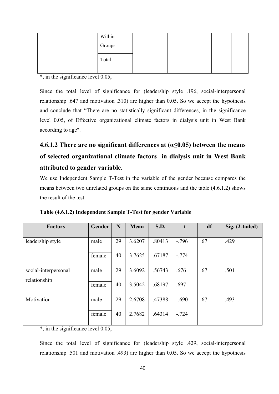| Within |  |  |  |
|--------|--|--|--|
| Groups |  |  |  |
| Total  |  |  |  |
|        |  |  |  |

 $*$ , in the significance level 0.05,

Since the total level of significance for (leadership style .196, social-interpersonal relationship .647 and motivation .310) are higher than 0.05. So we accept the hypothesis and conclude that "There are no statistically significant differences, in the significance level 0.05, of Effective organizational climate factors in dialysis unit in West Bank according to age".

# **4.6.1.2 There are no significant differences at (α≤0.05) between the means of selected organizational climate factors in dialysis unit in West Bank attributed to gender variable.**

We use Independent Sample T-Test in the variable of the gender because compares the means between two unrelated groups on the same continuous and the table (4.6.1.2) shows the result of the test.

| <b>Factors</b>       | Gender | N  | Mean   | S.D.   | t       | df | Sig. (2-tailed) |
|----------------------|--------|----|--------|--------|---------|----|-----------------|
|                      |        |    |        |        |         |    |                 |
| leadership style     | male   | 29 | 3.6207 | .80413 | $-.796$ | 67 | .429            |
|                      | female | 40 | 3.7625 | .67187 | $-.774$ |    |                 |
| social-interpersonal | male   | 29 | 3.6092 | .56743 | .676    | 67 | .501            |
| relationship         | female | 40 | 3.5042 | .68197 | .697    |    |                 |
| Motivation           | male   | 29 | 2.6708 | .47388 | $-.690$ | 67 | .493            |
|                      | female | 40 | 2.7682 | .64314 | $-.724$ |    |                 |

**Table (4.6.1.2) Independent Sample T-Test for gender Variable** 

\*, in the significance level 0.05,

Since the total level of significance for (leadership style .429, social-interpersonal relationship .501 and motivation .493) are higher than 0.05. So we accept the hypothesis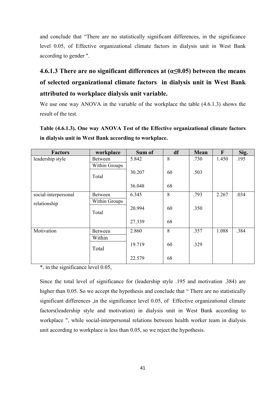and conclude that "There are no statistically significant differences, in the significance level 0.05, of Effective organizational climate factors in dialysis unit in West Bank according to gender ".

# **4.6.1.3 There are no significant differences at (α≤0.05) between the means of selected organizational climate factors in dialysis unit in West Bank attributed to workplace dialysis unit variable.**

We use one way ANOVA in the variable of the workplace the table (4.6.1.3) shows the result of the test.

**Table (4.6.1.3). One way ANOVA Test of the Effective organizational climate factors in dialysis unit in West Bank according to workplace.**

| <b>Factors</b>       | workplace     | Sum of | df | Mean | F     | Sig. |
|----------------------|---------------|--------|----|------|-------|------|
| leadership style     | Between       | 5.842  | 8  | .730 | 1.450 | .195 |
|                      | Within Groups |        |    |      |       |      |
|                      | Total         | 30.207 | 60 | .503 |       |      |
|                      |               | 36.048 | 68 |      |       |      |
| social-interpersonal | Between       | 6.345  | 8  | .793 | 2.267 | .034 |
| relationship         | Within Groups |        |    |      |       |      |
|                      | Total         | 20.994 | 60 | .350 |       |      |
|                      |               | 27.339 | 68 |      |       |      |
| Motivation           | Between       | 2.860  | 8  | .357 | 1.088 | .384 |
|                      | Within        |        |    |      |       |      |
|                      | Total         | 19.719 | 60 | .329 |       |      |
|                      |               | 22.579 | 68 |      |       |      |

\*, in the significance level 0.05,

Since the total level of significance for (leadership style .195 and motivation .384) are higher than 0.05. So we accept the hypothesis and conclude that "There are no statistically significant differences ,in the significance level 0.05, of Effective organizational climate factors(leadership style and motivation) in dialysis unit in West Bank according to workplace ", while social-interpersonal relations between health worker team in dialysis unit according to workplace is less than 0.05, so we reject the hypothesis.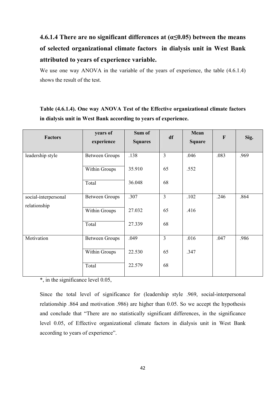# **4.6.1.4 There are no significant differences at (α≤0.05) between the means of selected organizational climate factors in dialysis unit in West Bank attributed to years of experience variable.**

We use one way ANOVA in the variable of the years of experience, the table  $(4.6.1.4)$ shows the result of the test.

| <b>Factors</b>       | years of<br>experience | Sum of<br><b>Squares</b> | df                      | Mean<br><b>Square</b> | $\mathbf{F}$ | Sig. |
|----------------------|------------------------|--------------------------|-------------------------|-----------------------|--------------|------|
| leadership style     | <b>Between Groups</b>  | .138                     | $\overline{3}$          | .046                  | .083         | .969 |
|                      | Within Groups          | 35.910                   | 65                      | .552                  |              |      |
|                      | Total                  | 36.048                   | 68                      |                       |              |      |
| social-interpersonal | <b>Between Groups</b>  | .307                     | $\overline{3}$          | .102                  | .246         | .864 |
| relationship         | Within Groups          | 27.032                   | 65                      | .416                  |              |      |
|                      | Total                  | 27.339                   | 68                      |                       |              |      |
| Motivation           | <b>Between Groups</b>  | .049                     | $\overline{\mathbf{3}}$ | .016                  | .047         | .986 |
|                      | Within Groups          | 22.530                   | 65                      | .347                  |              |      |
|                      | Total                  | 22.579                   | 68                      |                       |              |      |

# **Table (4.6.1.4). One way ANOVA Test of the Effective organizational climate factors in dialysis unit in West Bank according to years of experience.**

\*, in the significance level 0.05,

Since the total level of significance for (leadership style .969, social-interpersonal relationship .864 and motivation .986) are higher than 0.05. So we accept the hypothesis and conclude that "There are no statistically significant differences, in the significance level 0.05, of Effective organizational climate factors in dialysis unit in West Bank according to years of experience".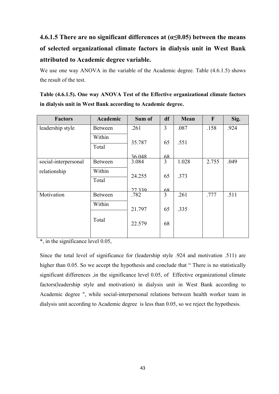# **4.6.1.5 There are no significant differences at (α≤0.05) between the means of selected organizational climate factors in dialysis unit in West Bank attributed to Academic degree variable.**

We use one way ANOVA in the variable of the Academic degree. Table  $(4.6.1.5)$  shows the result of the test.

**Table (4.6.1.5). One way ANOVA Test of the Effective organizational climate factors in dialysis unit in West Bank according to Academic degree.** 

| <b>Factors</b>       | Academic       | Sum of | df | Mean  | F     | Sig. |
|----------------------|----------------|--------|----|-------|-------|------|
| leadership style     | <b>Between</b> | .261   | 3  | .087  | .158  | .924 |
|                      | Within         | 35.787 | 65 | .551  |       |      |
|                      | Total          |        |    |       |       |      |
|                      |                | 36.048 | 68 |       |       |      |
| social-interpersonal | <b>Between</b> | 3.084  | 3  | 1.028 | 2.755 | .049 |
| relationship         | Within         | 24.255 | 65 | .373  |       |      |
|                      | Total          |        |    |       |       |      |
|                      |                | 27339  | 68 |       |       |      |
| Motivation           | <b>Between</b> | .782   | 3  | .261  | .777  | .511 |
|                      | Within         |        |    |       |       |      |
|                      |                | 21.797 | 65 | .335  |       |      |
|                      | Total          | 22.579 | 68 |       |       |      |
|                      |                |        |    |       |       |      |

\*, in the significance level 0.05,

Since the total level of significance for (leadership style .924 and motivation .511) are higher than 0.05. So we accept the hypothesis and conclude that "There is no statistically significant differences ,in the significance level 0.05, of Effective organizational climate factors(leadership style and motivation) in dialysis unit in West Bank according to Academic degree ", while social-interpersonal relations between health worker team in dialysis unit according to Academic degree is less than 0.05, so we reject the hypothesis.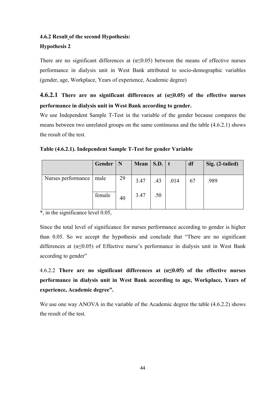# **4.6.2 Result of the second Hypothesis:**

# **Hypothesis 2**

There are no significant differences at  $(\alpha \le 0.05)$  between the means of effective nurses performance in dialysis unit in West Bank attributed to socio-demographic variables (gender, age, Workplace, Years of experience, Academic degree)

# **4.6.2.1 There are no significant differences at (α≤0.05) of the effective nurses performance in dialysis unit in West Bank according to gender.**

We use Independent Sample T-Test in the variable of the gender because compares the means between two unrelated groups on the same continuous and the table (4.6.2.1) shows the result of the test.

|  | Table (4.6.2.1). Independent Sample T-Test for gender Variable |  |  |
|--|----------------------------------------------------------------|--|--|
|  |                                                                |  |  |

|                           | Gender | N  | Mean $\vert$ S.D. $\vert$ t |     |      | df | Sig. (2-tailed) |
|---------------------------|--------|----|-----------------------------|-----|------|----|-----------------|
| Nurses performance   male |        | 29 | 3.47                        | .43 | .014 | 67 | .989            |
|                           | female | 40 | 3.47                        | .50 |      |    |                 |

 $\overline{\phantom{a}}$ , in the significance level 0.05,

Since the total level of significance for nurses performance according to gender is higher than 0.05. So we accept the hypothesis and conclude that "There are no significant differences at  $(\alpha \le 0.05)$  of Effective nurse's performance in dialysis unit in West Bank according to gender"

4.6.2.2 **There are no significant differences at (α≤0.05) of the effective nurses performance in dialysis unit in West Bank according to age, Workplace, Years of experience, Academic degree".** 

We use one way ANOVA in the variable of the Academic degree the table  $(4.6.2.2)$  shows the result of the test.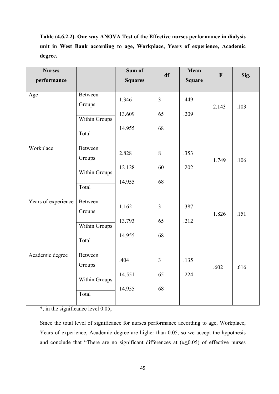**Table (4.6.2.2). One way ANOVA Test of the Effective nurses performance in dialysis unit in West Bank according to age, Workplace, Years of experience, Academic degree.** 

| <b>Nurses</b>       |                                                    | Sum of                    | df                         | Mean          | $\mathbf F$ | Sig. |
|---------------------|----------------------------------------------------|---------------------------|----------------------------|---------------|-------------|------|
| performance         |                                                    | <b>Squares</b>            |                            | <b>Square</b> |             |      |
| Age                 | Between<br>Groups<br><b>Within Groups</b><br>Total | 1.346<br>13.609<br>14.955 | $\overline{3}$<br>65<br>68 | .449<br>.209  | 2.143       | .103 |
| Workplace           | Between<br>Groups<br>Within Groups<br>Total        | 2.828<br>12.128<br>14.955 | 8<br>60<br>68              | .353<br>.202  | 1.749       | .106 |
| Years of experience | Between<br>Groups<br>Within Groups<br>Total        | 1.162<br>13.793<br>14.955 | $\overline{3}$<br>65<br>68 | .387<br>.212  | 1.826       | .151 |
| Academic degree     | Between<br>Groups<br><b>Within Groups</b><br>Total | .404<br>14.551<br>14.955  | $\overline{3}$<br>65<br>68 | .135<br>.224  | .602        | .616 |

\*, in the significance level 0.05,

Since the total level of significance for nurses performance according to age, Workplace, Years of experience, Academic degree are higher than 0.05, so we accept the hypothesis and conclude that "There are no significant differences at  $(\alpha \le 0.05)$  of effective nurses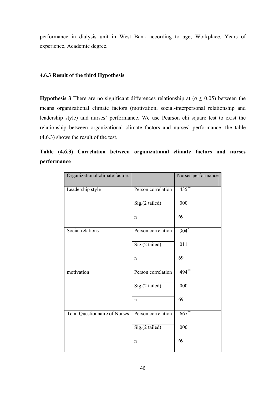performance in dialysis unit in West Bank according to age, Workplace, Years of experience, Academic degree.

# **4.6.3 Result of the third Hypothesis**

**Hypothesis 3** There are no significant differences relationship at ( $\alpha \le 0.05$ ) between the means organizational climate factors (motivation, social-interpersonal relationship and leadership style) and nurses' performance. We use Pearson chi square test to exist the relationship between organizational climate factors and nurses' performance, the table (4.6.3) shows the result of the test.

| Organizational climate factors       |                    | Nurses performance |
|--------------------------------------|--------------------|--------------------|
| Leadership style                     | Person correlation | $.435***$          |
|                                      | Sig.(2 tailed)     | .000               |
|                                      | $\mathbf n$        | 69                 |
| Social relations                     | Person correlation | $.304*$            |
|                                      | Sig.(2 tailed)     | .011               |
|                                      | $\mathbf n$        | 69                 |
| motivation                           | Person correlation | $.494***$          |
|                                      | Sig.(2 tailed)     | .000               |
|                                      | $\mathbf n$        | 69                 |
| <b>Total Questionnaire of Nurses</b> | Person correlation | $.667**$           |
|                                      | Sig.(2 tailed)     | .000               |
|                                      | $\mathbf n$        | 69                 |

**Table (4.6.3) Correlation between organizational climate factors and nurses performance**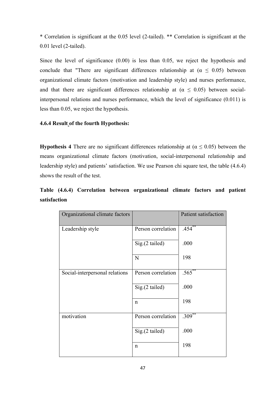\* Correlation is significant at the 0.05 level (2-tailed). \*\* Correlation is significant at the 0.01 level (2-tailed).

Since the level of significance (0.00) is less than 0.05, we reject the hypothesis and conclude that "There are significant differences relationship at ( $\alpha \leq 0.05$ ) between organizational climate factors (motivation and leadership style) and nurses performance, and that there are significant differences relationship at ( $\alpha \leq 0.05$ ) between socialinterpersonal relations and nurses performance, which the level of significance (0.011) is less than 0.05, we reject the hypothesis.

# **4.6.4 Result of the fourth Hypothesis:**

**Hypothesis 4** There are no significant differences relationship at ( $\alpha \le 0.05$ ) between the means organizational climate factors (motivation, social-interpersonal relationship and leadership style) and patients' satisfaction. We use Pearson chi square test, the table (4.6.4) shows the result of the test.

**Table (4.6.4) Correlation between organizational climate factors and patient satisfaction** 

| Organizational climate factors |                    | Patient satisfaction |
|--------------------------------|--------------------|----------------------|
| Leadership style               | Person correlation | $.454***$            |
|                                | Sig.(2 tailed)     | .000                 |
|                                | N                  | 198                  |
| Social-interpersonal relations | Person correlation | $.565***$            |
|                                | Sig.(2 tailed)     | .000                 |
|                                | $\mathsf{n}$       | 198                  |
| motivation                     | Person correlation | $.309^{**}$          |
|                                | $Sig(2$ tailed)    | .000                 |
|                                | $\mathbf n$        | 198                  |
|                                |                    |                      |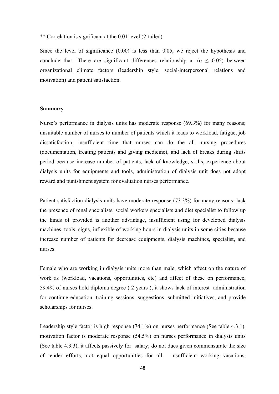\*\* Correlation is significant at the 0.01 level (2-tailed).

Since the level of significance (0.00) is less than 0.05, we reject the hypothesis and conclude that "There are significant differences relationship at  $(\alpha \le 0.05)$  between organizational climate factors (leadership style, social-interpersonal relations and motivation) and patient satisfaction.

#### **Summary**

Nurse's performance in dialysis units has moderate response (69.3%) for many reasons; unsuitable number of nurses to number of patients which it leads to workload, fatigue, job dissatisfaction, insufficient time that nurses can do the all nursing procedures (documentation, treating patients and giving medicine), and lack of breaks during shifts period because increase number of patients, lack of knowledge, skills, experience about dialysis units for equipments and tools, administration of dialysis unit does not adopt reward and punishment system for evaluation nurses performance.

Patient satisfaction dialysis units have moderate response (73.3%) for many reasons; lack the presence of renal specialists, social workers specialists and diet specialist to follow up the kinds of provided is another advantage, insufficient using for developed dialysis machines, tools, signs, inflexible of working hours in dialysis units in some cities because increase number of patients for decrease equipments, dialysis machines, specialist, and nurses.

Female who are working in dialysis units more than male, which affect on the nature of work as (workload, vacations, opportunities, etc) and affect of these on performance, 59.4% of nurses hold diploma degree ( 2 years ), it shows lack of interest administration for continue education, training sessions, suggestions, submitted initiatives, and provide scholarships for nurses.

Leadership style factor is high response (74.1%) on nurses performance (See table 4.3.1), motivation factor is moderate response (54.5%) on nurses performance in dialysis units (See table 4.3.3), it affects passively for salary; do not dues given commensurate the size of tender efforts, not equal opportunities for all, insufficient working vacations,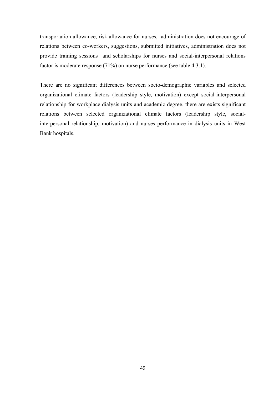transportation allowance, risk allowance for nurses, administration does not encourage of relations between co-workers, suggestions, submitted initiatives, administration does not provide training sessions and scholarships for nurses and social-interpersonal relations factor is moderate response (71%) on nurse performance (see table 4.3.1).

There are no significant differences between socio-demographic variables and selected organizational climate factors (leadership style, motivation) except social-interpersonal relationship for workplace dialysis units and academic degree, there are exists significant relations between selected organizational climate factors (leadership style, socialinterpersonal relationship, motivation) and nurses performance in dialysis units in West Bank hospitals.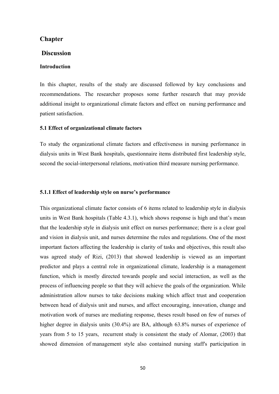# **Chapter**

## **Discussion**

### **Introduction**

In this chapter, results of the study are discussed followed by key conclusions and recommendations. The researcher proposes some further research that may provide additional insight to organizational climate factors and effect on nursing performance and patient satisfaction.

### **5.1 Effect of organizational climate factors**

To study the organizational climate factors and effectiveness in nursing performance in dialysis units in West Bank hospitals, questionnaire items distributed first leadership style, second the social-interpersonal relations, motivation third measure nursing performance.

# **5.1.1 Effect of leadership style on nurse's performance**

This organizational climate factor consists of 6 items related to leadership style in dialysis units in West Bank hospitals (Table 4.3.1), which shows response is high and that's mean that the leadership style in dialysis unit effect on nurses performance; there is a clear goal and vision in dialysis unit, and nurses determine the rules and regulations. One of the most important factors affecting the leadership is clarity of tasks and objectives, this result also was agreed study of Rizi, (2013) that showed leadership is viewed as an important predictor and plays a central role in organizational climate, leadership is a management function, which is mostly directed towards people and social interaction, as well as the process of influencing people so that they will achieve the goals of the organization. While administration allow nurses to take decisions making which affect trust and cooperation between head of dialysis unit and nurses, and affect encouraging, innovation, change and motivation work of nurses are mediating response, theses result based on few of nurses of higher degree in dialysis units (30.4%) are BA, although 63.8% nurses of experience of years from 5 to 15 years, recurrent study is consistent the study of Alomar, (2003) that showed dimension of management style also contained nursing staff's participation in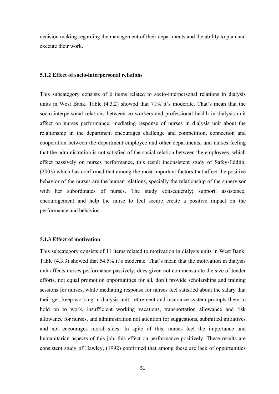decision making regarding the management of their departments and the ability to plan and execute their work.

#### **5.1.2 Effect of socio-interpersonal relations**

This subcategory consists of 6 items related to socio-interpersonal relations in dialysis units in West Bank. Table (4.3.2) showed that 71% it's moderate. That's mean that the socio-interpersonal relations between co-workers and professional health in dialysis unit affect on nurses performance; mediating response of nurses in dialysis unit about the relationship in the department encourages challenge and competition, connection and cooperation between the department employee and other departments, and nurses feeling that the administration is not satisfied of the social relation between the employees, which effect passively on nurses performance, this result inconsistent study of Safey-Eddiin, (2003) which has confirmed that among the most important factors that affect the positive behavior of the nurses are the human relations, specially the relationship of the supervisor with her subordinates of nurses. The study consequently; support, assistance, encouragement and help the nurse to feel secure create a positive impact on the performance and behavior.

# **5.1.3 Effect of motivation**

This subcategory consists of 11 items related to motivation in dialysis units in West Bank. Table (4.3.3) showed that 54.5% it's moderate. That's mean that the motivation in dialysis unit affects nurses performance passively; dues given not commensurate the size of tender efforts, not equal promotion opportunities for all, don't provide scholarships and training sessions for nurses, while mediating response for nurses feel satisfied about the salary that their get, keep working in dialysis unit, retirement and insurance system prompts them to hold on to work, insufficient working vacations, transportation allowance and risk allowance for nurses, and administration not attention for suggestions, submitted initiatives and not encourages moral sides. In spite of this, nurses feel the importance and humanitarian aspects of this job, this effect on performance positively. These results are consistent study of Hawley, (1992) confirmed that among these are lack of opportunities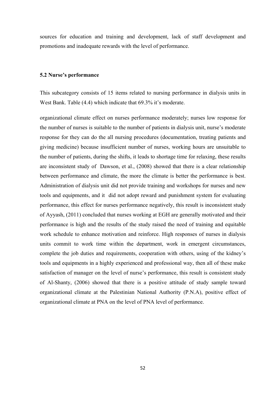sources for education and training and development, lack of staff development and promotions and inadequate rewards with the level of performance.

#### **5.2 Nurse's performance**

This subcategory consists of 15 items related to nursing performance in dialysis units in West Bank. Table (4.4) which indicate that 69.3% it's moderate.

organizational climate effect on nurses performance moderately; nurses low response for the number of nurses is suitable to the number of patients in dialysis unit, nurse's moderate response for they can do the all nursing procedures (documentation, treating patients and giving medicine) because insufficient number of nurses, working hours are unsuitable to the number of patients, during the shifts, it leads to shortage time for relaxing, these results are inconsistent study of Dawson, et al., (2008) showed that there is a clear relationship between performance and climate, the more the climate is better the performance is best. Administration of dialysis unit did not provide training and workshops for nurses and new tools and equipments, and it did not adopt reward and punishment system for evaluating performance, this effect for nurses performance negatively, this result is inconsistent study of Ayyash, (2011) concluded that nurses working at EGH are generally motivated and their performance is high and the results of the study raised the need of training and equitable work schedule to enhance motivation and reinforce. High responses of nurses in dialysis units commit to work time within the department, work in emergent circumstances, complete the job duties and requirements, cooperation with others, using of the kidney's tools and equipments in a highly experienced and professional way, then all of these make satisfaction of manager on the level of nurse's performance, this result is consistent study of Al-Shanty, (2006) showed that there is a positive attitude of study sample toward organizational climate at the Palestinian National Authority (P.N.A), positive effect of organizational climate at PNA on the level of PNA level of performance.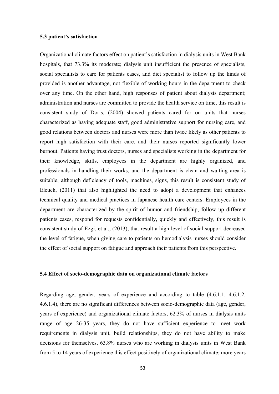#### **5.3 patient's satisfaction**

Organizational climate factors effect on patient's satisfaction in dialysis units in West Bank hospitals, that 73.3% its moderate; dialysis unit insufficient the presence of specialists, social specialists to care for patients cases, and diet specialist to follow up the kinds of provided is another advantage, not flexible of working hours in the department to check over any time. On the other hand, high responses of patient about dialysis department; administration and nurses are committed to provide the health service on time, this result is consistent study of Doris, (2004) showed patients cared for on units that nurses characterized as having adequate staff, good administrative support for nursing care, and good relations between doctors and nurses were more than twice likely as other patients to report high satisfaction with their care, and their nurses reported significantly lower burnout. Patients having trust doctors, nurses and specialists working in the department for their knowledge, skills, employees in the department are highly organized, and professionals in handling their works, and the department is clean and waiting area is suitable, although deficiency of tools, machines, signs, this result is consistent study of Eleuch, (2011) that also highlighted the need to adopt a development that enhances technical quality and medical practices in Japanese health care centers. Employees in the department are characterized by the spirit of humor and friendship, follow up different patients cases, respond for requests confidentially, quickly and effectively, this result is consistent study of Ezgi, et al., (2013), that result a high level of social support decreased the level of fatigue, when giving care to patients on hemodialysis nurses should consider the effect of social support on fatigue and approach their patients from this perspective.

# **5.4 Effect of socio-demographic data on organizational climate factors**

Regarding age, gender, years of experience and according to table (4.6.1.1, 4.6.1.2, 4.6.1.4), there are no significant differences between socio-demographic data (age, gender, years of experience) and organizational climate factors, 62.3% of nurses in dialysis units range of age 26-35 years, they do not have sufficient experience to meet work requirements in dialysis unit, build relationships, they do not have ability to make decisions for themselves, 63.8% nurses who are working in dialysis units in West Bank from 5 to 14 years of experience this effect positively of organizational climate; more years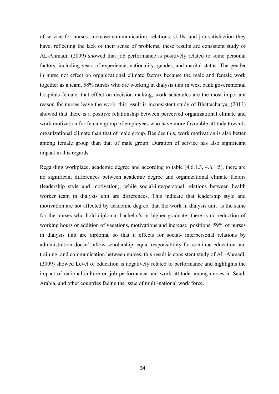of service for nurses, increase communication, relations, skills, and job satisfaction they have, reflecting the lack of their sense of problems, these results are consistent study of AL-Ahmadi, (2009) showed that job performance is positively related to some personal factors, including years of experience, nationality, gender, and marital status. The gender in nurse not effect on organizational climate factors because the male and female work together as a team, 58% nurses who are working in dialysis unit in west bank governmental hospitals female, that effect on decision making, work schedules are the most important reason for nurses leave the work, this result is inconsistent study of Bhattacharya, (2013) showed that there is a positive relationship between perceived organizational climate and work motivation for female group of employees who have more favorable attitude towards organizational climate than that of male group. Besides this, work motivation is also better among female group than that of male group. Duration of service has also significant impact in this regards.

Regarding workplace, academic degree and according to table (4.6.1.3, 4.6.1.5), there are no significant differences between academic degree and organizational climate factors (leadership style and motivation), while social-interpersonal relations between health worker team in dialysis unit are differences, This indicate that leadership style and motivation are not affected by academic degree; that the work in dialysis unit is the same for the nurses who hold diploma, bachelor's or higher graduate; there is no reduction of working hours or addition of vacations, motivations and increase positions. 59% of nurses in dialysis unit are diploma, so that it effects for social- interpersonal relations by administration doesn't allow scholarship, equal responsibility for continue education and training, and communication between nurses, this result is consistent study of AL-Ahmadi, (2009) showed Level of education is negatively related to performance and highlights the impact of national culture on job performance and work attitude among nurses in Saudi Arabia, and other countries facing the issue of multi-national work force.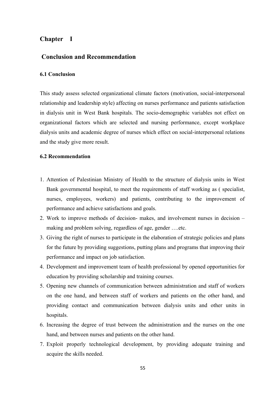## **Chapter Ι**

## **Conclusion and Recommendation**

#### **6.1 Conclusion**

This study assess selected organizational climate factors (motivation, social-interpersonal relationship and leadership style) affecting on nurses performance and patients satisfaction in dialysis unit in West Bank hospitals. The socio-demographic variables not effect on organizational factors which are selected and nursing performance, except workplace dialysis units and academic degree of nurses which effect on social-interpersonal relations and the study give more result.

#### **6.2 Recommendation**

- 1. Attention of Palestinian Ministry of Health to the structure of dialysis units in West Bank governmental hospital, to meet the requirements of staff working as ( specialist, nurses, employees, workers) and patients, contributing to the improvement of performance and achieve satisfactions and goals.
- 2. Work to improve methods of decision- makes, and involvement nurses in decision making and problem solving, regardless of age, gender ….etc.
- 3. Giving the right of nurses to participate in the elaboration of strategic policies and plans for the future by providing suggestions, putting plans and programs that improving their performance and impact on job satisfaction.
- 4. Development and improvement team of health professional by opened opportunities for education by providing scholarship and training courses.
- 5. Opening new channels of communication between administration and staff of workers on the one hand, and between staff of workers and patients on the other hand, and providing contact and communication between dialysis units and other units in hospitals.
- 6. Increasing the degree of trust between the administration and the nurses on the one hand, and between nurses and patients on the other hand.
- 7. Exploit properly technological development, by providing adequate training and acquire the skills needed.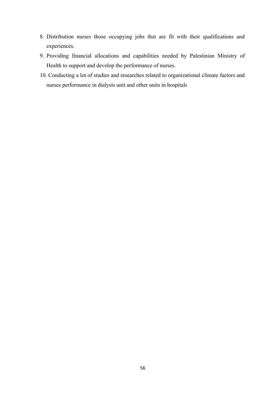- 8. Distribution nurses those occupying jobs that are fit with their qualifications and experiences.
- 9. Providing financial allocations and capabilities needed by Palestinian Ministry of Health to support and develop the performance of nurses.
- 10. Conducting a lot of studies and researches related to organizational climate factors and nurses performance in dialysis unit and other units in hospitals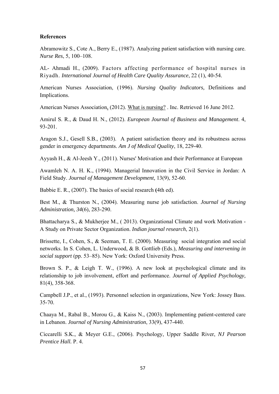#### **References**

Abramowitz S., Cote A., Berry E., (1987). Analyzing patient satisfaction with nursing care. *Nurse Res*, 5, 100–108.

AL- Ahmadi H., (2009). Factors affecting performance of hospital nurses in Riyadh. *International Journal of Health Care Quality Assurance*, 22 (1), 40-54.

American Nurses Association, (1996). *Nursing Quality Indicators,* Definitions and Implications.

American Nurses Association, (2012). What is nursing? . Inc. Retrieved 16 June 2012.

Amirul S. R., & Daud H. N., (2012). *European Journal of Business and Management*. 4, 93-201.

Aragon S.J., Gesell S.B., (2003). A patient satisfaction theory and its robustness across gender in emergency departments. *Am J of Medical Quality*, 18, 229-40.

Ayyash H., & Al-Jeesh Y., (2011). Nurses' Motivation and their Performance at European

Awamleh N. A. H. K., (1994). Managerial Innovation in the Civil Service in Jordan: A Field Study. *Journal of Management Development,* 13(9), 52-60.

Babbie E. R., (2007). The basics of social research **(**4th ed).

Best M., & Thurston N., (2004). Measuring nurse job satisfaction. *Journal of Nursing Administration, 34*(6), 283-290.

Bhattacharya S., & Mukherjee M., ( 2013). Organizational Climate and work Motivation - A Study on Private Sector Organization. *Indian journal research*, 2(1).

Brissette, I., Cohen, S., & Seeman, T. E. (2000). Measuring social integration and social networks. In S. Cohen, L. Underwood, & B. Gottlieb (Eds.), *Measuring and intervening in social support* (pp. 53–85). New York: Oxford University Press.

Brown S. P., & Leigh T. W., (1996). A new look at psychological climate and its relationship to job involvement, effort and performance. *Journal of Applied Psychology,*  81(4), 358-368.

Campbell J.P., et al., (1993). Personnel selection in organizations, New York: Jossey Bass. 35-70.

Chaaya M., Rabal B., Morou G., & Kaiss N., (2003). Implementing patient-centered care in Lebanon. *Journal of Nursing Administration*, 33(9), 437-440.

Ciccarelli S.K., & Meyer G.E., (2006). Psychology, Upper Saddle River, *NJ Pearson Prentice Hall.* P. 4.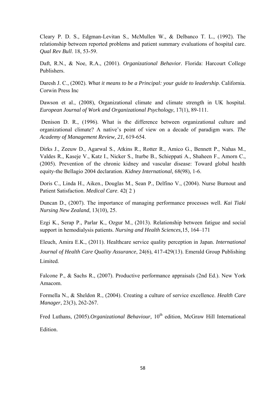Cleary P. D. S., Edgman-Levitan S., McMullen W., & Delbanco T. L., (1992). The relationship between reported problems and patient summary evaluations of hospital care. *Qual Rev Bull*. 18, 53-59.

Daft, R.N., & Noe, R.A., (2001). *Organizational Behavior.* Florida: Harcourt College Publishers.

Daresh J. C., (2002). *What it means to be a Principal: your guide to leadership*. California. Corwin Press Inc

Dawson et al., (2008), Organizational climate and climate strength in UK hospital. *European Journal of Work and Organizational Psychology*, 17(1), 89-111.

 Denison D. R., (1996). What is the difference between organizational culture and organizational climate? A native's point of view on a decade of paradigm wars. *The Academy of Management Review, 21*, 619-654.

Dirks J., Zeeuw D., Agarwal S., Atkins R., Rotter R., Amico G., Bennett P., Nahas M., Valdes R., Kaseje V., Katz I., Nicker S., Iturbe B., Schieppati A., Shaheen F., Amorn C., (2005). Prevention of the chronic kidney and vascular disease: Toward global health equity-the Bellagio 2004 declaration. *Kidney International,* 68(98), 1-6.

Doris C., Linda H., Aiken., Douglas M., Sean P., Delfino V., (2004). Nurse Burnout and Patient Satisfaction. *Medical Care*. 42( 2 )

Duncan D., (2007). The importance of managing performance processes well. *Kai Tiaki Nursing New Zealand*, 13(10), 25.

Ezgi K., Serap P., Parlar K., Ozgur M., (2013). Relationship between fatigue and social support in hemodialysis patients. *Nursing and Health Sciences,*15, 164–171

Eleuch, Amira E.K., (2011). Healthcare service quality perception in Japan. *International Journal of Health Care Quality Assurance*, 24(6), 417-429(13). Emerald Group Publishing Limited.

Falcone P., & Sachs R., (2007). Productive performance appraisals (2nd Ed.). New York Amacom.

Formella N., & Sheldon R., (2004). Creating a culture of service excellence. *Health Care Manager*, 23(3), 262-267.

Fred Luthans, (2005).*Organizational Behaviour*, 10<sup>th</sup> edition, McGraw Hill International Edition.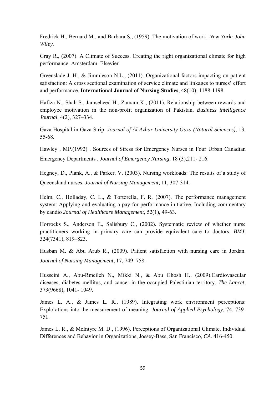Fredrick H., Bernard M., and Barbara S., (1959). The motivation of work. *New York: John Wiley.* 

Gray R., (2007). A Climate of Success. Creating the right organizational climate for high performance. Amsterdam. Elsevier

Greenslade J. H., & Jimmieson N.L., (2011). Organizational factors impacting on patient satisfaction: A cross sectional examination of service climate and linkages to nurses' effort and performance. **International Journal of Nursing Studies**, 48(10), 1188-1198.

Hafiza N., Shah S., Jamseheed H., Zamam K., (2011). Relationship between rewards and employee motivation in the non-profit organization of Pakistan. *Business intelligence Journal*, 4(2), 327–334.

Gaza Hospital in Gaza Strip. *Journal of Al Azhar University-Gaza (Natural Sciences),* 13, 55-68.

Hawley , MP.(1992) . Sources of Stress for Emergency Nurses in Four Urban Canadian Emergency Departments . *Journal of Emergency Nursing*, 18 (3),211- 216.

Hegney, D., Plank, A., & Parker, V. (2003). Nursing workloads: The results of a study of Queensland nurses. *Journal of Nursing Management*, 11, 307-314.

Helm, C., Holladay, C. L., & Tortorella, F. R. (2007). The performance management system: Applying and evaluating a pay-for-performance initiative. Including commentary by candio *Journal of Healthcare Management*, 52(1), 49-63.

Horrocks S., Anderson E., Salisbury C., (2002). Systematic review of whether nurse practitioners working in primary care can provide equivalent care to doctors. *BMJ,*  324(7341), 819–823.

Husban M. & Abu Arub R., (2009). Patient satisfaction with nursing care in Jordan. *Journal of Nursing Management*, 17, 749–758.

Husseini A., Abu-Rmeileh N., Mikki N., & Abu Ghosh H., (2009).Cardiovascular diseases, diabetes mellitus, and cancer in the occupied Palestinian territory. *The Lancet*, 373(9668), 1041- 1049.

James L. A., & James L. R., (1989). Integrating work environment perceptions: Explorations into the measurement of meaning. *Journal of Applied Psychology*, 74, 739- 751.

James L. R., & McIntyre M. D., (1996). Perceptions of Organizational Climate. Individual Differences and Behavior in Organizations, Jossey-Bass, San Francisco, *CA*. 416-450.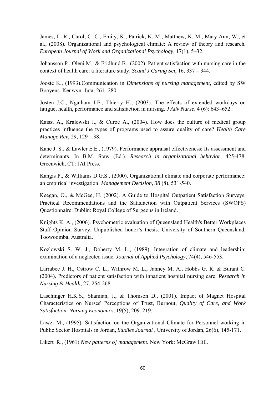James, L. R., Carol, C. C., Emily, K., Patrick, K. M., Matthew, K. M., Mary Ann, W., et al., (2008). Organizational and psychological climate: A review of theory and research*. European Journal of Work and Organizational Psychology,* 17(1), 5–32.

Johansson P., Oleni M., & Fridlund B., (2002). Patient satisfaction with nursing care in the context of health care: a literature study. *Scand J Caring Sci*, 16, 337 – 344.

Jooste K., (1993).Communication in *Dimensions of nursing management*, edited by SW Booyens*.* Kenwyn: Juta, 261 -280.

Josten J.C., Ngatham J.E., Thierry H., (2003). The effects of extended workdays on fatigue, health, performance and satisfaction in nursing. *J Adv Nurse,* 4 (6): 643–652.

Kaissi A., Kralewski J., & Curoe A., (2004). How does the culture of medical group practices influence the types of programs used to assure quality of care? *Health Care Manage Rev*, 29, 129–138.

Kane J. S., & Lawler E.E., (1979). Performance appraisal effectiveness: Its assessment and determinants. In B.M. Staw (Ed.). *Research in organizational behavior*, 425-478. Greenwich, CT: JAI Press.

Kangis P., & Williams D.G.S., (2000). Organizational climate and corporate performance: an empirical investigation. *Management Decision*, *38* (8), 531-540.

Keegan, O., & McGee, H. (2002). A Guide to Hospital Outpatient Satisfaction Surveys. Practical Recommendations and the Satisfaction with Outpatient Services (SWOPS) Questionnaire. Dublin: Royal College of Surgeons in Ireland.

Knights K. A., (2006). Psychometric evaluation of Queensland Health's Better Workplaces Staff Opinion Survey. Unpublished honor's thesis. University of Southern Queensland, Toowoomba, Australia.

Kozlowski S. W. J., Doherty M. L., (1989). Integration of climate and leadership: examination of a neglected issue. *Journal of Applied Psychology*, 74(4), 546-553.

Larrabee J. H., Ostrow C. L., Withrow M. L., Janney M. A., Hobbs G. R. & Burant C. (2004). Predictors of patient satisfaction with inpatient hospital nursing care. *Research in Nursing & Health*, 27, 254-268.

Laschinger H.K.S., Shamian, J., & Thomson D., (2001). Impact of Magnet Hospital Characteristics on Nurses' Perceptions of Trust, Burnout, *Quality of Care, and Work Satisfaction. Nursing Economics,* 19(5), 209–219.

Lawzi M., (1995). Satisfaction on the Organizational Climate for Personnel working in Public Sector Hospitals in Jordan, *Studies Journal* , University of Jordan, 26(6), 145-171.

Likert R., (1961) *New patterns o] management.* New York: McGraw Hill.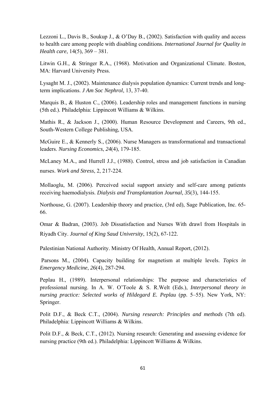Lezzoni L., Davis B., Soukup J., & O'Day B., (2002). Satisfaction with quality and access to health care among people with disabling conditions. *International Journal for Quality in Health care*, 14(5), 369 – 381.

Litwin G.H., & Stringer R.A., (1968). Motivation and Organizational Climate. Boston, MA: Harvard University Press.

Lysaght M. J., (2002). Maintenance dialysis population dynamics: Current trends and longterm implications. *J Am Soc Nephrol*, 13, 37-40.

Marquis B., & Huston C., (2006). Leadership roles and management functions in nursing (5th ed.). Philadelphia: Lippincott Williams & Wilkins.

Mathis R., & Jackson J., (2000). Human Resource Development and Careers, 9th ed., South-Western College Publishing, USA.

McGuire E., & Kennerly S., (2006). Nurse Managers as transformational and transactional leaders. *Nursing Economics*, *24*(4), 179-185.

McLaney M.A., and Hurrell J.J., (1988). Control, stress and job satisfaction in Canadian nurses. *Work and Stress*, 2, 217-224.

Mollaoglu, M. (2006). Perceived social support anxiety and self-care among patients receiving haemodialysis. *Dialysis and Transplantation Journal, 35*(3), 144-155.

Northouse, G. (2007). Leadership theory and practice, (3rd ed), Sage Publication, Inc. 65- 66.

Omar & Badran, (2003). Job Dissatisfaction and Nurses With drawl from Hospitals in Riyadh City. *Journal of King Saud University*, 15(2), 67-122.

Palestinian National Authority. Ministry Of Health, Annual Report, (2012).

 Parsons M., (2004). Capacity building for magnetism at multiple levels. *Topics in Emergency Medicine*, *26*(4), 287-294.

Peplau H., (1989). Interpersonal relationships: The purpose and characteristics of professional nursing. In A. W. O'Toole & S. R.Welt (Eds.), *Interpersonal theory in nursing practice: Selected works of Hildegard E. Peplau (pp. 5–55). New York, NY:* Springer.

Polit D.F., & Beck C.T., (2004). *Nursing research: Principles and methods* (7th ed). Philadelphia: Lippincott Williams & Wilkins.

Polit D.F., & Beck, C.T., (2012). Nursing research: Generating and assessing evidence for nursing practice (9th ed.). Philadelphia: Lippincott Williams & Wilkins.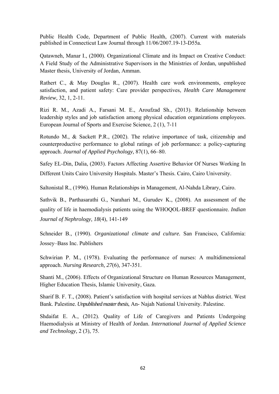Public Health Code, Department of Public Health, (2007). Current with materials published in Connecticut Law Journal through 11/06/2007.19-13-D55a.

Qatawneh, Manar I., (2000). Organizational Climate and its Impact on Creative Conduct: A Field Study of the Administrative Supervisors in the Ministries of Jordan, unpublished Master thesis, University of Jordan, Amman.

Rathert C., & May Douglas R., (2007). Health care work environments, employee satisfaction, and patient safety: Care provider perspectives, *Health Care Management Review*, 32, 1, 2-11.

Rizi R. M., Azadi A., Farsani M. E., Aroufzad Sh., (2013). Relationship between leadership styles and job satisfaction among physical education organizations employees. European Journal of Sports and Exercise Science, 2 (1), 7-11

Rotundo M., & Sackett P.R., (2002). The relative importance of task, citizenship and counterproductive performance to global ratings of job performance: a policy-capturing approach. *Journal of Applied Psychology,* 87(1), 66–80.

Safey EL-Din, Dalia, (2003). Factors Affecting Assertive Behavior Of Nurses Working In Different Units Cairo University Hospitals. Master's Thesis. Cairo, Cairo University.

Saltonistal R., (1996). Human Relationships in Management, Al-Nahda Library, Cairo.

Sathvik B., Parthasarathi G., Narahari M., Gurudev K., (2008). An assessment of the quality of life in haemodialysis patients using the WHOQOL-BREF questionnaire. *Indian Journal of Nephrology, 18*(4), 141-149

Schneider B., (1990). *Organizational climate and culture.* San Francisco, California: Jossey–Bass Inc. Publishers

Schwirian P. M., (1978). Evaluating the performance of nurses: A multidimensional approach. *Nursing Research, 27*(6), 347-351.

Shanti M., (2006). Effects of Organizational Structure on Human Resources Management, Higher Education Thesis, Islamic University, Gaza.

Sharif B. F. T., (2008). Patient's satisfaction with hospital services at Nablus district. West Bank. Palestine. *Unpublished master thesis*, An- Najah National University. Palestine.

Shdaifat E. A., (2012). Quality of Life of Caregivers and Patients Undergoing Haemodialysis at Ministry of Health of Jordan. *International Journal of Applied Science and Technology,* 2 (3), 75.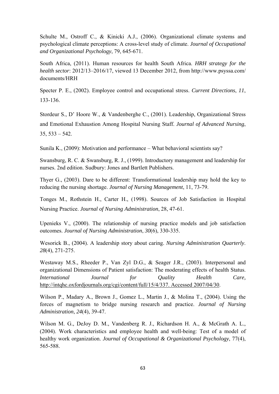Schulte M., Ostroff C., & Kinicki A.J., (2006). Organizational climate systems and psychological climate perceptions: A cross-level study of climate. *Journal of Occupational and Organizational Psychology*, 79, 645-671.

South Africa, (2011). Human resources for health South Africa. *HRH strategy for the health sector*: 2012/13–2016/17, viewed 13 December 2012, from http://www.psyssa.com/ documents/HRH

Specter P. E., (2002). Employee control and occupational stress. *Current Directions*, *11*, 133-136.

Stordeur S., D' Hoore W., & Vandenberghe C., (2001). Leadership, Organizational Stress and Emotional Exhaustion Among Hospital Nursing Staff. *Journal of Advanced Nursing*, 35, 533 – 542.

Sunila K., (2009): Motivation and performance – What behavioral scientists say?

Swansburg, R. C. & Swansburg, R. J., (1999). Introductory management and leadership for nurses. 2nd edition. Sudbury: Jones and Bartlett Publishers.

Thyer G., (2003). Dare to be different: Transformational leadership may hold the key to reducing the nursing shortage. *Journal of Nursing Management*, 11, 73-79.

Tonges M., Rothstein H., Carter H., (1998). Sources of Job Satisfaction in Hospital Nursing Practice. *Journal of Nursing Administration*, 28, 47-61.

Upenieks V., (2000). The relationship of nursing practice models and job satisfaction outcomes. *Journal of Nursing Administration*, *30*(6), 330-335.

Wesorick B., (2004). A leadership story about caring. *Nursing Administration Quarterly*. *28*(4), 271-275.

Westaway M.S., Rheeder P., Van Zyl D.G., & Seager J.R., (2003). Interpersonal and organizational Dimensions of Patient satisfaction: The moderating effects of health Status. *International Journal for Quality Health Care,*  http://intqhc.oxfordjournals.org/cgi/content/full/15/4/337. Accessed 2007/04/30.

Wilson P., Madary A., Brown J., Gomez L., Martin J., & Molina T., (2004). Using the forces of magnetism to bridge nursing research and practice. *Journal of Nursing Administration*, *24*(4), 39-47.

Wilson M. G., DeJoy D. M., Vandenberg R. J., Richardson H. A., & McGrath A. L., (2004). Work characteristics and employee health and well-being: Test of a model of healthy work organization. *Journal of Occupational & Organizational Psychology*, 77(4), 565-588.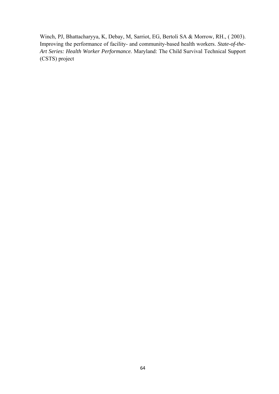Winch, PJ, Bhattacharyya, K, Debay, M, Sarriot, EG, Bertoli SA & Morrow, RH., ( 2003). Improving the performance of facility- and community-based health workers. *State-of-the-Art Series: Health Worker Performance.* Maryland: The Child Survival Technical Support (CSTS) project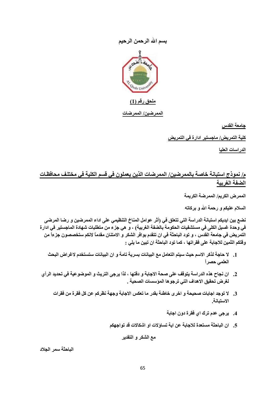## **بسم االله الرحمن الرحيم**



#### **ملحق رقم (1)**

#### **الممرضين/ الممرضات**

**جامعة القدس** 

**آلية التمريض/ ماجستير ادارة في التمريض** 

**الدراسات العليا** 

# **م/ نموذج استبانة خاصة بالممرضين/ الممرضات الذين يعملون في قسم الكلية في مختلѧف محافظѧات الضفة الغربية**

**الممرض الكريم/ الممرضة الكريمة** 

**السلام عليكم و رحمة االله و برآاته** 

نضع بين ايديكم استبانـة الدراسـة التي تتعلق في (أثر عوامل المنـاخ التنظيمي على اداء الممرضين و رضـا المرضى في وحدة غسيل الكلي في مستشفيات الحكومة بالضفة الغربية) ، و هي جزء من متطلبات شهادة الماجستير في ادارة التمريض في جامعة القدس ، و تود الباحثة في ان تتقدم بوافر الشكر و الامتنان مقدماً لانكم ستخصصون جزءاً من **وقتكم الثمين للاجابة على فقراتها ، آما تود الباحثة ان تبين ما يلي :** 

- **.1 لا حاجة لذآر الاسم حيث سيتم التعامل مع البيانات بسرية تامة و ان البيانات ستستخدم لاغراض البحث العلمي حصراً**
- 2. ان نجاح هذه الدراسة يتوقف على صحة الاجابة و دقتها ، لذا يرجى التريث و الموضوعية في تحديد الرأي **لغرض تحقيق الاهداف التي ترجوها المؤسسات الصحية .**
	- **.3 لا توجد اجابات صحيحة و اخرى خاطئة بقدر ما تعكس الاجابة وجهة نظرآم عن آل فقرة من فقرات الاستبانة.**
		- **.4 يرجى عدم ترك اي فقرة دون اجابة**
		- **.5 ان الباحثة مستعدة للاجابة عن اية تساؤلات او اشكالات قد تواجهكم**

**مع الشكر و التقدير** 

**الباحثة سمر الجلاد**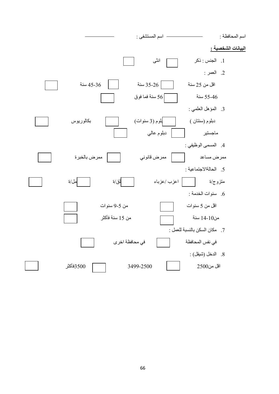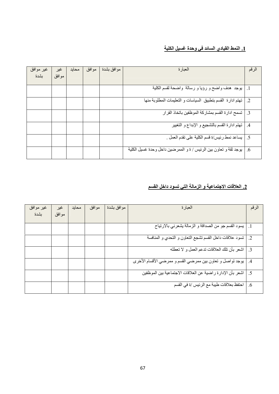## **.1 النمط القيادي السائد في وحدة غسيل الكلية**

| غير موافق<br>بشدة | غير<br>موافق | محايد | موافق | موافق بشدة | العبارة                                                          | الرقم               |
|-------------------|--------------|-------|-------|------------|------------------------------------------------------------------|---------------------|
|                   |              |       |       |            |                                                                  |                     |
|                   |              |       |       |            | يوجد  هدف واضح و رؤيا و رسالة  واضحة لقسم الكلية                 | $\vert \cdot \vert$ |
|                   |              |       |       |            | تهتم ادارة القسم بتطبيق السياسات و التعليمات المطلوبة منها       | $\cdot$ .2          |
|                   |              |       |       |            | تسمح ادارة القسم بمشاركة الموظفين باتخاذ القرار                  | $\cdot$ .3          |
|                   |              |       |       |            | تهتم ادارة القسم بالتشجيع و الإبداع و التغيير                    | $\cdot$ .4          |
|                   |              |       |       |            | يساعد نمط رئيس/ة قسم الكلية على تقدم العمل .                     | $\overline{.5}$     |
|                   |              |       |       |            | يوجد ثقة و تعاون بين الرئيس / ة و الممرضين داخل وحدة غسيل الكلية | .6                  |

## **.2 العلاقات الاجتماعية و الزمالة التي تسود داخل القسم**

| غير موافق | غير   | محايد | موافق | موافق بشدة | العبارة                                                     | الرقم      |
|-----------|-------|-------|-------|------------|-------------------------------------------------------------|------------|
| بشدة      | موافق |       |       |            |                                                             |            |
|           |       |       |       |            | يسود القسم جو من الصداقة و الزمالة يشعرني بالارتياح         |            |
|           |       |       |       |            | تسود علاقات داخل القسم تشجع التعاون و التحدي و المنافسة     | $\cdot$ .2 |
|           |       |       |       |            | اشعر بأن تلك العلاقات تدعم العمل و لا تعطله                 | .3         |
|           |       |       |       |            | يوجد تواصل و تعاون بين ممرضىي القسم و ممرضىي الأقسام الأخرى | .4         |
|           |       |       |       |            | اشعر بأن الإدارة راضية عن العلاقات الاجتماعية بين الموظفين  | .5         |
|           |       |       |       |            | احتفظ بعلاقات طيبة مع الرئيس /ة في القسم                    | .6         |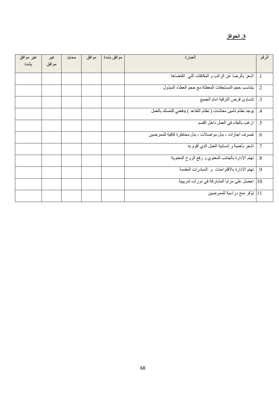# **.3 الحوافز**

| غير موافق<br>بشدة | غير<br>موافق | محايد | مو افق | موافق بشدة | العبارة                                                      | الرقم                |
|-------------------|--------------|-------|--------|------------|--------------------------------------------------------------|----------------------|
|                   |              |       |        |            |                                                              |                      |
|                   |              |       |        |            | اشعر بالرضا عن الراتب و المكافات التي اتقاضاها               | $\cdot$ 1            |
|                   |              |       |        |            | يتناسب حجم المستحقات المعطاة مع حجم العطاء المبذول           | $\cdot$ <sup>2</sup> |
|                   |              |       |        |            | تتساوى فرص الترقية امام الجميع                               | $\cdot$ 3            |
|                   |              |       |        |            | يوجد نظام تأمين معاشات ( نظام التقاعد ) يدفعني للتمسك بالعمل | .4                   |
|                   |              |       |        |            | ارغب بالبقاء في العمل داخل القسم                             | .5                   |
|                   |              |       |        |            | تصرف اجازات ، بدل مواصلات ، بدل مخاطرة كافية للممرضين        | .6                   |
|                   |              |       |        |            | اشعر بأهمية و إنسانية العمل الذي أقوم به                     | $\cdot$ .7           |
|                   |              |       |        |            | تهتم الإدارة بالجانب المعنوي و رفع الروح المعنوية            | .8                   |
|                   |              |       |        |            | تهتم الادارة بالاقتراحات و المبادرات المقدمة                 | .9                   |
|                   |              |       |        |            | 10] احصل على مزايا المشاركة في دورات تدريبية                 |                      |
|                   |              |       |        |            | 11] توفر منح دراسية للممرضين                                 |                      |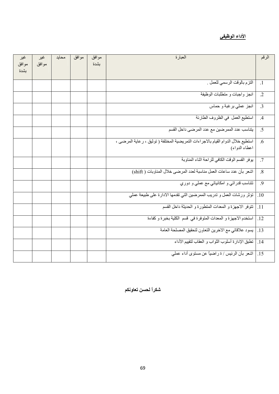# **الأداء الوظيفي**

| غير   | غير   | محايد | موافق | موافق | المعبارة                                                                         | الرقم           |
|-------|-------|-------|-------|-------|----------------------------------------------------------------------------------|-----------------|
| موافق | موافق |       |       | بشدة  |                                                                                  |                 |
| بشدة  |       |       |       |       |                                                                                  |                 |
|       |       |       |       |       | التزم بالوقت الرسمي للعمل .                                                      | $\cdot$ 1       |
|       |       |       |       |       | انجز واجبات و متطلبات الوظيفة                                                    | $\cdot$ .2      |
|       |       |       |       |       | انجز عملي برغبة و حماس                                                           | $\overline{3}$  |
|       |       |       |       |       | استطيع العمل في الظروف الطارئة                                                   | .4              |
|       |       |       |       |       | يتناسب عدد الممر ضبن مع عدد المرضى داخل القسم                                    | .5              |
|       |       |       |       |       | استطيع خلال الدوام القيام بالاجراءات التمريضية المختلفة ( توثيق ، رعاية المرضى ، | .6              |
|       |       |       |       |       | اعطاء الدواء)                                                                    |                 |
|       |       |       |       |       | يوفر القسم الوقت الكافي للراحة اثناء المناوبة                                    | .7              |
|       |       |       |       |       | اشعر بأن عدد ساعات العمل مناسبة لعدد المرضى خلال المناوبات ( shift)              | .8              |
|       |       |       |       |       | تتناسب قدراتي و امكانياتي مع عملي و دوري                                         | $\overline{.9}$ |
|       |       |       |       |       | تؤثر ورشات العمل و تدريب الممرضين التي تقدمها الادارة على طبيعة عملي             | .10             |
|       |       |       |       |       | تتوفر الاجهزة و المعدات المنطورة و الحديثة داخل القسم                            | $\vert .11$     |
|       |       |       |       |       | استخدم الاجهزة و المعدات المتوفرة في قسم الكلية بخبرة و كفاءة                    | .12             |
|       |       |       |       |       | يسود علاقاتي مع الاخرين التعاون لتحقيق المصلحة العامة                            | $\vert .13$     |
|       |       |       |       |       | 14. [نطبق الإدارة أسلوب الثواب و العقاب لتقييم الأداء                            |                 |
|       |       |       |       |       | 15.   اشعر بأن الرئيس / ة راضياً عن مستوى أداء عملي                              |                 |

**شكراً لحسن تعاونكم**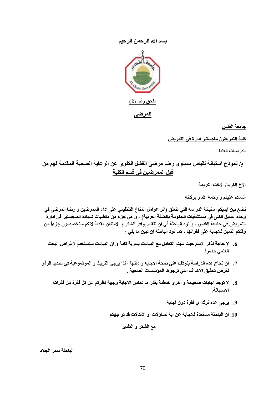### **بسم االله الرحمن الرحيم**



**جامعة القدس** 

**آلية التمريض/ ماجستير ادارة في التمريض** 

**الدراسات العليا** 

**م/ نموذج استبانة لقياس مستوى رضا مرضى الفشل الكلوي عن الرعاية الصحية المقدمة لهم من قبل الممرضين في قسم الكلية** 

**الاخ الكريم/ الاخت الكريمة** 

**السلام عليكم و رحمة االله و برآاته** 

نضع بين ايديكم استبانـة الدراسـة التي تتعلق (أثر عوامل المنـاخ التنظيمي على اداء الممرضين و رضـا المرضى في وحدة غسيل الكلى في مستشفيات الحكومة بالضفة الغربية) ، و هي جزء من متطلبات شهادة الماجستير في ادار ة التمريض في جامعة القدس ، و تود الباحثة في ان تتقدم بوافر الشكر و الامتنان مقدماً لانكم ستخصصون جزءاً من **وقتكم الثمين للاجابة على فقراتها ، آما تود الباحثة ان تبين ما يلي :** 

- **.6 لا حاجة لذآر الاسم حيث سيتم التعامل مع البيانات بسرية تامة و ان البيانات ستستخدم لاغراض البحث العلمي حصراً**
- 7. ان نجاح هذه الدراسة يتوقف على صحة الاجابة و دقتها ، لذا يرجى التريث و الموضوعية في تحديد الرأي **لغرض تحقيق الاهداف التي ترجوها المؤسسات الصحية .**
	- **.8 لا توجد اجابات صحيحة و اخرى خاطئة بقدر ما تعكس الاجابة وجهة نظرآم عن آل فقرة من فقرات الاستبانة.**
		- **.9 يرجى عدم ترك اي فقرة دون اجابة**
		- **.10 ان الباحثة مستعدة للاجابة عن اية تساؤلات او اشكالات قد تواجهكم**

**مع الشكر و التقدير** 

**الباحثة سمر الجلاد**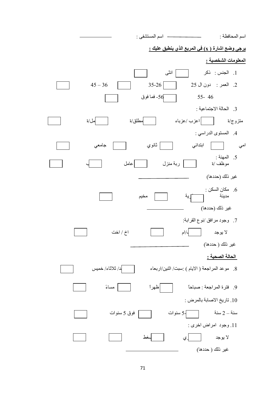اسم المحافظة : اسم المستشفى : **يرجى وضع اشارة ( x (في المربع الذي ينطبق عليك : المعلومات الشخصية :**  .1 الجنس : ذآر انثى .2 العمر : دون ال 25 35-26 36 – 45 46 55- -56 فما فوق .3 الحالة الاجتماعية : متزوج/ة | |اعزب /عزباء | |مطلق/ة | مل/ة .4 المستوى الدراسي : امي ابتدائي ثانوي جامعي 5. المهنة :<br>موظف /ة ربة منزل | عامل غير ذلك (حددها) . مكان السكن  $6$  مدينة قرية مخيم غير ذلك (حددها) .7 وجود مرافق /نوع القرابة: لا يوجد اب/ام اخ / اخت غير ذلك ( حددها) **الحالة الصحية :**  .8 موعد المراجعة ( الايام ) :سبت/ اثنين/اربعاء احد/ ثلاثاء/ خميس .9 فترة المراجعة : صباحاً ظهراً مساءً .10 تاريخ الاصابة بالمرض : سنة $-2$  سنة  $\sqrt{5-3}$  سنوات  $\sqrt{5-3}$  سنوات .11 وجود امراض اخرى : لا يوجد | لعغط | لمغط غير ذلك ( حددها)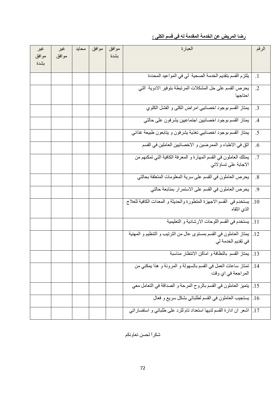# **رضا المريض عن الخدمة المقدمة له في قسم الكلى :**

| غير   | غير   | محايد | موافق | موافق | العبارة                                                                   | الرقم      |
|-------|-------|-------|-------|-------|---------------------------------------------------------------------------|------------|
| موافق | موافق |       |       | بشدة  |                                                                           |            |
| بشدة  |       |       |       |       |                                                                           |            |
|       |       |       |       |       | يلتزم القسم بتقديم الخدمة الصحية لي في المواعيد المحددة                   | $\cdot$ 1  |
|       |       |       |       |       | يحرص القسم على حل المشكلات المرتبطة بتوفير الادوية التي                   | $\cdot$ .2 |
|       |       |       |       |       | احتاجها                                                                   |            |
|       |       |       |       |       | يمتاز القسم بوجود اخصائيي امراض الكلى و الفشل الكلوي                      | $\cdot$ 3  |
|       |       |       |       |       | يمتاز القسم بوجود اخصائيين اجتماعيين يشرفون على حالتي                     | .4         |
|       |       |       |       |       | يمتاز القسم بوجود اخصائيي تغذية يشرفون و يتابعون طبيعة غذائي              | .5         |
|       |       |       |       |       | اثق في الاطباء و الممرضين و الاخصائيين العاملين في القسم                  | .6         |
|       |       |       |       |       | يمتلك العاملون في القسم المهارة و المعرفة الكافية التي تمكنهم من          | $\cdot$ .7 |
|       |       |       |       |       | الاجابة على تساؤ لاتى                                                     |            |
|       |       |       |       |       | يحرص العاملون في القسم على سرية المعلومات المتعلقة بحالتي                 | .8         |
|       |       |       |       |       | يحرص العاملون في القسم على الاستمرار بمتابعة حالتي                        | $\cdot$ .9 |
|       |       |       |       |       | يستخدم في القسم الاجهزة المتطورة والحديثة و المعدات الكافية للعلاج        | .10        |
|       |       |       |       |       | الذي اتلقاه                                                               |            |
|       |       |       |       |       | 11.  يستخدم في القسم اللوحات الارشادية و التعليمية                        |            |
|       |       |       |       |       | يمتاز العاملون في القسم بمستوى عال من الترتيب و التنظيم و المهنية         | .12        |
|       |       |       |       |       | في تقديم الخدمة لي                                                        |            |
|       |       |       |       |       | 13. يمتاز القسم بالنظافة و اماكن الانتظار مناسبة                          |            |
|       |       |       |       |       | 14. [ تمتاز ساعات العمل في القسم بالسهولة و المرونة و هذا بمكنى من        |            |
|       |       |       |       |       | المراجعة في اي وقت                                                        |            |
|       |       |       |       |       | 15] ليتميز العاملون في القسم بالروح المرحة و الصداقة في التعامل معي       |            |
|       |       |       |       |       | 16 ] يستجيب العاملون في القسم لطلباتي بشكل سريع و فعال                    |            |
|       |       |       |       |       | 17   اشعر ان ادارة القسم لديها استعداد نام للرد على طلباتي و استفسار اتبي |            |

شكراً لحسن تعاونكم